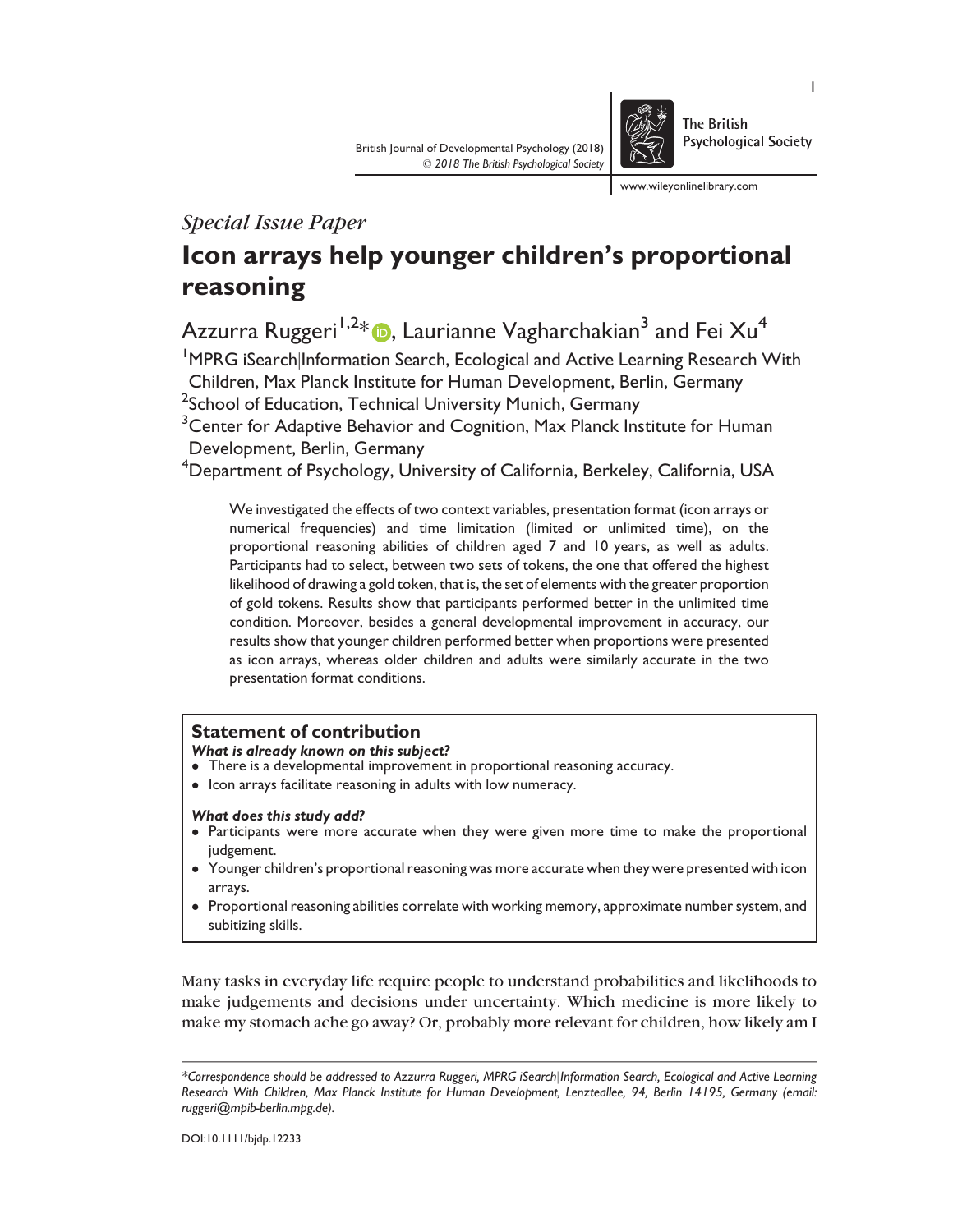

**The British Psychological Society** 

www.wileyonlinelibrary.com

# Special Issue Paper

# Icon arrays help younger children's proportional reasoning

Azzurra Ruggeri<sup>1,2\*</sup> **D**, Laurianne Vagharchakian<sup>3</sup> and Fei Xu<sup>4</sup>

<sup>1</sup>MPRG iSearch|Information Search, Ecological and Active Learning Research With Children, Max Planck Institute for Human Development, Berlin, Germany

 $^2$ School of Education, Technical University Munich, Germany

<sup>3</sup> Center for Adaptive Behavior and Cognition, Max Planck Institute for Human Development, Berlin, Germany

4 Department of Psychology, University of California, Berkeley, California, USA

We investigated the effects of two context variables, presentation format (icon arrays or numerical frequencies) and time limitation (limited or unlimited time), on the proportional reasoning abilities of children aged 7 and 10 years, as well as adults. Participants had to select, between two sets of tokens, the one that offered the highest likelihood of drawing a gold token, that is, the set of elements with the greater proportion of gold tokens. Results show that participants performed better in the unlimited time condition. Moreover, besides a general developmental improvement in accuracy, our results show that younger children performed better when proportions were presented as icon arrays, whereas older children and adults were similarly accurate in the two presentation format conditions.

# Statement of contribution

What is already known on this subject?

- ! There is a developmental improvement in proportional reasoning accuracy.
- ! Icon arrays facilitate reasoning in adults with low numeracy.

# What does this study add?

- Participants were more accurate when they were given more time to make the proportional judgement.
- ! Younger children's proportional reasoning was more accurate when they were presented with icon arrays.
- Proportional reasoning abilities correlate with working memory, approximate number system, and subitizing skills.

Many tasks in everyday life require people to understand probabilities and likelihoods to make judgements and decisions under uncertainty. Which medicine is more likely to make my stomach ache go away? Or, probably more relevant for children, how likely am I

<sup>\*</sup>Correspondence should be addressed to Azzurra Ruggeri, MPRG iSearch|Information Search, Ecological and Active Learning Research With Children, Max Planck Institute for Human Development, Lenzteallee, 94, Berlin 14195, Germany (email: ruggeri@mpib-berlin.mpg.de).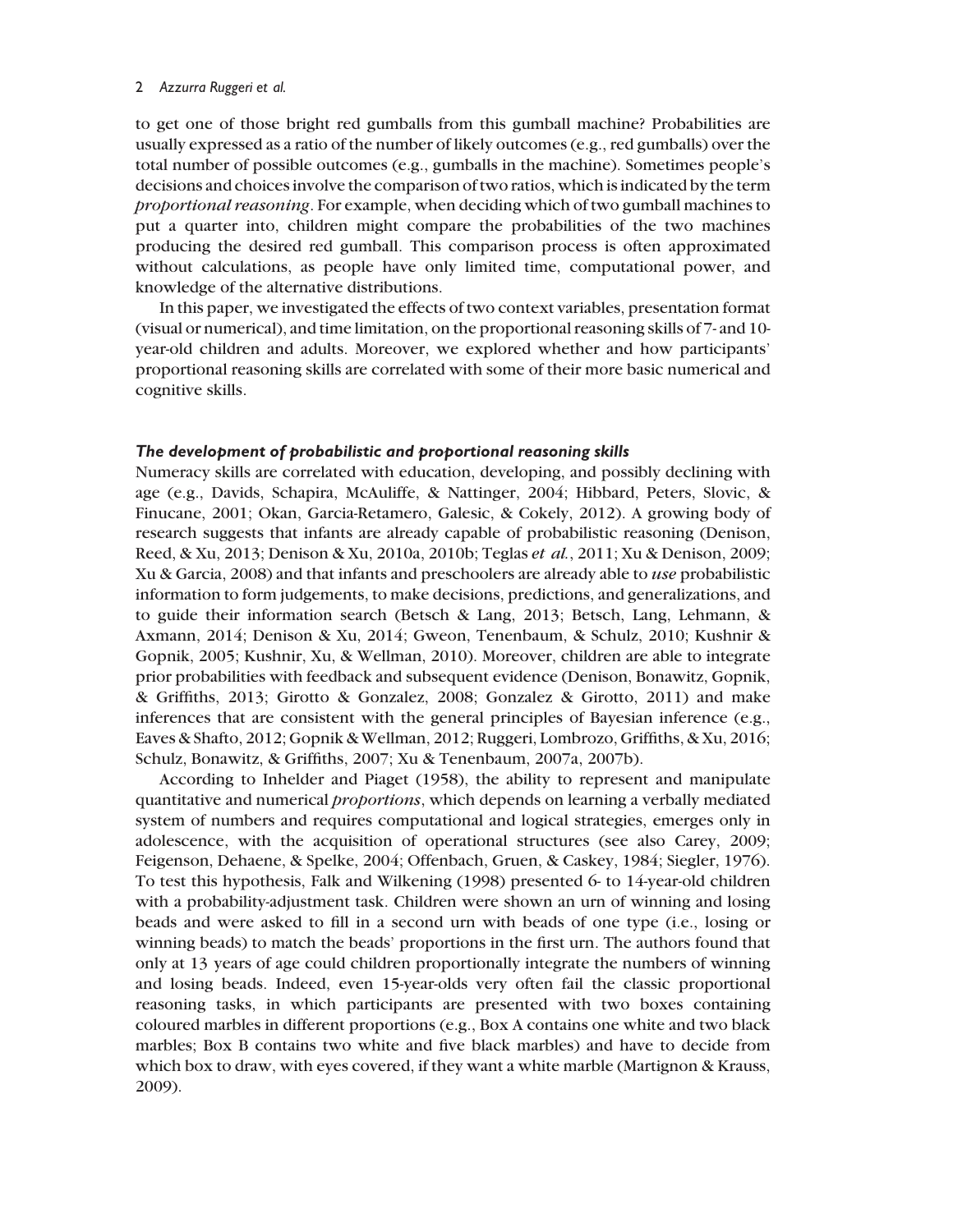to get one of those bright red gumballs from this gumball machine? Probabilities are usually expressed as a ratio of the number of likely outcomes (e.g., red gumballs) over the total number of possible outcomes (e.g., gumballs in the machine). Sometimes people's decisions and choices involve the comparison of two ratios, which is indicated by the term proportional reasoning. For example, when deciding which of two gumball machines to put a quarter into, children might compare the probabilities of the two machines producing the desired red gumball. This comparison process is often approximated without calculations, as people have only limited time, computational power, and knowledge of the alternative distributions.

In this paper, we investigated the effects of two context variables, presentation format (visual or numerical), and time limitation, on the proportional reasoning skills of 7- and 10 year-old children and adults. Moreover, we explored whether and how participants' proportional reasoning skills are correlated with some of their more basic numerical and cognitive skills.

#### The development of probabilistic and proportional reasoning skills

Numeracy skills are correlated with education, developing, and possibly declining with age (e.g., Davids, Schapira, McAuliffe, & Nattinger, 2004; Hibbard, Peters, Slovic, & Finucane, 2001; Okan, Garcia-Retamero, Galesic, & Cokely, 2012). A growing body of research suggests that infants are already capable of probabilistic reasoning (Denison, Reed, & Xu, 2013; Denison & Xu, 2010a, 2010b; Teglas et al., 2011; Xu & Denison, 2009; Xu & Garcia, 2008) and that infants and preschoolers are already able to use probabilistic information to form judgements, to make decisions, predictions, and generalizations, and to guide their information search (Betsch & Lang, 2013; Betsch, Lang, Lehmann, & Axmann, 2014; Denison & Xu, 2014; Gweon, Tenenbaum, & Schulz, 2010; Kushnir & Gopnik, 2005; Kushnir, Xu, & Wellman, 2010). Moreover, children are able to integrate prior probabilities with feedback and subsequent evidence (Denison, Bonawitz, Gopnik, & Griffiths, 2013; Girotto & Gonzalez, 2008; Gonzalez & Girotto, 2011) and make inferences that are consistent with the general principles of Bayesian inference (e.g., Eaves & Shafto, 2012; Gopnik & Wellman, 2012; Ruggeri, Lombrozo, Griffiths, & Xu, 2016; Schulz, Bonawitz, & Griffiths, 2007; Xu & Tenenbaum, 2007a, 2007b).

According to Inhelder and Piaget (1958), the ability to represent and manipulate quantitative and numerical proportions, which depends on learning a verbally mediated system of numbers and requires computational and logical strategies, emerges only in adolescence, with the acquisition of operational structures (see also Carey, 2009; Feigenson, Dehaene, & Spelke, 2004; Offenbach, Gruen, & Caskey, 1984; Siegler, 1976). To test this hypothesis, Falk and Wilkening (1998) presented 6- to 14-year-old children with a probability-adjustment task. Children were shown an urn of winning and losing beads and were asked to fill in a second urn with beads of one type (i.e., losing or winning beads) to match the beads' proportions in the first urn. The authors found that only at 13 years of age could children proportionally integrate the numbers of winning and losing beads. Indeed, even 15-year-olds very often fail the classic proportional reasoning tasks, in which participants are presented with two boxes containing coloured marbles in different proportions (e.g., Box A contains one white and two black marbles; Box B contains two white and five black marbles) and have to decide from which box to draw, with eyes covered, if they want a white marble (Martignon & Krauss, 2009).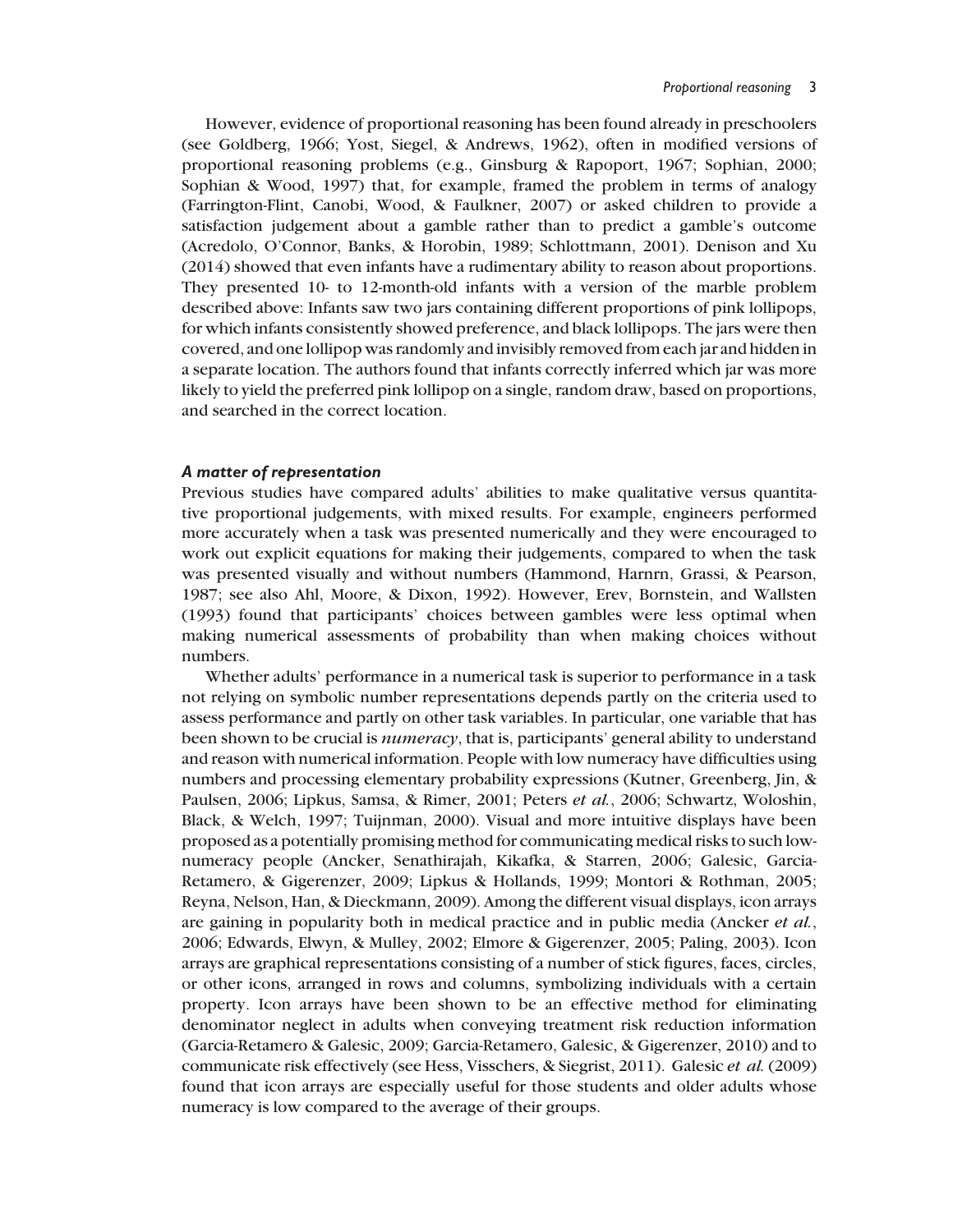However, evidence of proportional reasoning has been found already in preschoolers (see Goldberg, 1966; Yost, Siegel, & Andrews, 1962), often in modified versions of proportional reasoning problems (e.g., Ginsburg & Rapoport, 1967; Sophian, 2000; Sophian & Wood, 1997) that, for example, framed the problem in terms of analogy (Farrington-Flint, Canobi, Wood, & Faulkner, 2007) or asked children to provide a satisfaction judgement about a gamble rather than to predict a gamble's outcome (Acredolo, O'Connor, Banks, & Horobin, 1989; Schlottmann, 2001). Denison and Xu (2014) showed that even infants have a rudimentary ability to reason about proportions. They presented 10- to 12-month-old infants with a version of the marble problem described above: Infants saw two jars containing different proportions of pink lollipops, for which infants consistently showed preference, and black lollipops. The jars were then covered, and one lollipop was randomly and invisibly removed from each jar and hidden in a separate location. The authors found that infants correctly inferred which jar was more likely to yield the preferred pink lollipop on a single, random draw, based on proportions, and searched in the correct location.

# A matter of representation

Previous studies have compared adults' abilities to make qualitative versus quantitative proportional judgements, with mixed results. For example, engineers performed more accurately when a task was presented numerically and they were encouraged to work out explicit equations for making their judgements, compared to when the task was presented visually and without numbers (Hammond, Harnrn, Grassi, & Pearson, 1987; see also Ahl, Moore, & Dixon, 1992). However, Erev, Bornstein, and Wallsten (1993) found that participants' choices between gambles were less optimal when making numerical assessments of probability than when making choices without numbers.

Whether adults' performance in a numerical task is superior to performance in a task not relying on symbolic number representations depends partly on the criteria used to assess performance and partly on other task variables. In particular, one variable that has been shown to be crucial is *numeracy*, that is, participants' general ability to understand and reason with numerical information. People with low numeracy have difficulties using numbers and processing elementary probability expressions (Kutner, Greenberg, Jin, & Paulsen, 2006; Lipkus, Samsa, & Rimer, 2001; Peters et al., 2006; Schwartz, Woloshin, Black, & Welch, 1997; Tuijnman, 2000). Visual and more intuitive displays have been proposed as a potentially promising method for communicating medical risks to such lownumeracy people (Ancker, Senathirajah, Kikafka, & Starren, 2006; Galesic, Garcia-Retamero, & Gigerenzer, 2009; Lipkus & Hollands, 1999; Montori & Rothman, 2005; Reyna, Nelson, Han, & Dieckmann, 2009). Among the different visual displays, icon arrays are gaining in popularity both in medical practice and in public media (Ancker et al., 2006; Edwards, Elwyn, & Mulley, 2002; Elmore & Gigerenzer, 2005; Paling, 2003). Icon arrays are graphical representations consisting of a number of stick figures, faces, circles, or other icons, arranged in rows and columns, symbolizing individuals with a certain property. Icon arrays have been shown to be an effective method for eliminating denominator neglect in adults when conveying treatment risk reduction information (Garcia-Retamero & Galesic, 2009; Garcia-Retamero, Galesic, & Gigerenzer, 2010) and to communicate risk effectively (see Hess, Visschers, & Siegrist, 2011). Galesic et al. (2009) found that icon arrays are especially useful for those students and older adults whose numeracy is low compared to the average of their groups.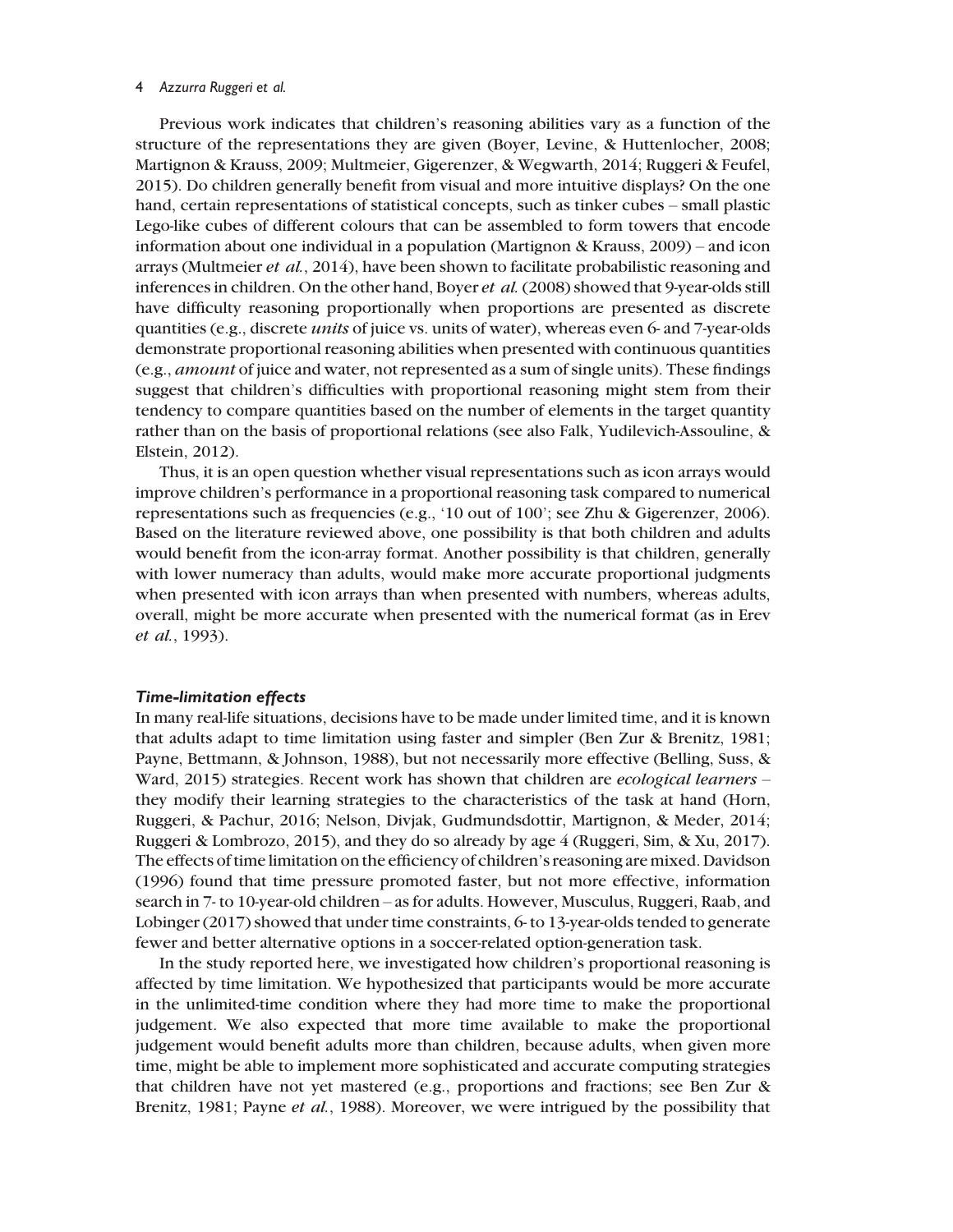Previous work indicates that children's reasoning abilities vary as a function of the structure of the representations they are given (Boyer, Levine, & Huttenlocher, 2008; Martignon & Krauss, 2009; Multmeier, Gigerenzer, & Wegwarth, 2014; Ruggeri & Feufel, 2015). Do children generally benefit from visual and more intuitive displays? On the one hand, certain representations of statistical concepts, such as tinker cubes – small plastic Lego-like cubes of different colours that can be assembled to form towers that encode information about one individual in a population (Martignon & Krauss, 2009) – and icon arrays (Multmeier et al., 2014), have been shown to facilitate probabilistic reasoning and inferences in children. On the other hand, Boyer *et al.* (2008) showed that 9-year-olds still have difficulty reasoning proportionally when proportions are presented as discrete quantities (e.g., discrete *units* of juice vs. units of water), whereas even 6- and 7-year-olds demonstrate proportional reasoning abilities when presented with continuous quantities (e.g., amount of juice and water, not represented as a sum of single units). These findings suggest that children's difficulties with proportional reasoning might stem from their tendency to compare quantities based on the number of elements in the target quantity rather than on the basis of proportional relations (see also Falk, Yudilevich-Assouline, & Elstein, 2012).

Thus, it is an open question whether visual representations such as icon arrays would improve children's performance in a proportional reasoning task compared to numerical representations such as frequencies (e.g., '10 out of 100'; see Zhu & Gigerenzer, 2006). Based on the literature reviewed above, one possibility is that both children and adults would benefit from the icon-array format. Another possibility is that children, generally with lower numeracy than adults, would make more accurate proportional judgments when presented with icon arrays than when presented with numbers, whereas adults, overall, might be more accurate when presented with the numerical format (as in Erev et al., 1993).

#### Time-limitation effects

In many real-life situations, decisions have to be made under limited time, and it is known that adults adapt to time limitation using faster and simpler (Ben Zur & Brenitz, 1981; Payne, Bettmann, & Johnson, 1988), but not necessarily more effective (Belling, Suss, & Ward, 2015) strategies. Recent work has shown that children are *ecological learners* – they modify their learning strategies to the characteristics of the task at hand (Horn, Ruggeri, & Pachur, 2016; Nelson, Divjak, Gudmundsdottir, Martignon, & Meder, 2014; Ruggeri & Lombrozo, 2015), and they do so already by age 4 (Ruggeri, Sim, & Xu, 2017). The effects of time limitation on the efficiency of children's reasoning are mixed. Davidson (1996) found that time pressure promoted faster, but not more effective, information search in 7- to 10-year-old children – as for adults. However, Musculus, Ruggeri, Raab, and Lobinger (2017) showed that under time constraints, 6- to 13-year-olds tended to generate fewer and better alternative options in a soccer-related option-generation task.

In the study reported here, we investigated how children's proportional reasoning is affected by time limitation. We hypothesized that participants would be more accurate in the unlimited-time condition where they had more time to make the proportional judgement. We also expected that more time available to make the proportional judgement would benefit adults more than children, because adults, when given more time, might be able to implement more sophisticated and accurate computing strategies that children have not yet mastered (e.g., proportions and fractions; see Ben Zur & Brenitz, 1981; Payne *et al.*, 1988). Moreover, we were intrigued by the possibility that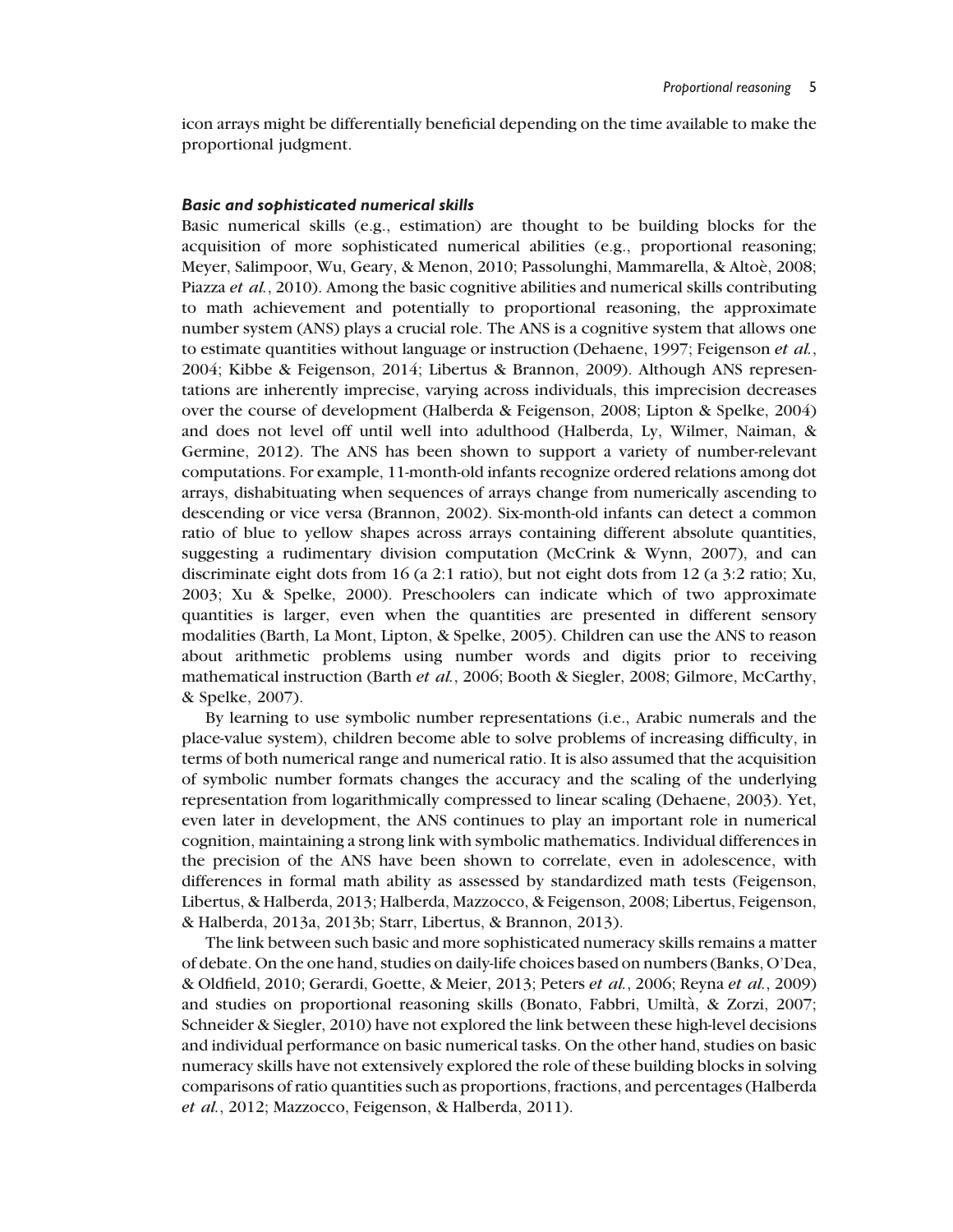icon arrays might be differentially beneficial depending on the time available to make the proportional judgment.

#### Basic and sophisticated numerical skills

Basic numerical skills (e.g., estimation) are thought to be building blocks for the acquisition of more sophisticated numerical abilities (e.g., proportional reasoning; Meyer, Salimpoor, Wu, Geary, & Menon, 2010; Passolunghi, Mammarella, & Altoè, 2008; Piazza et al., 2010). Among the basic cognitive abilities and numerical skills contributing to math achievement and potentially to proportional reasoning, the approximate number system (ANS) plays a crucial role. The ANS is a cognitive system that allows one to estimate quantities without language or instruction (Dehaene, 1997; Feigenson *et al.*, 2004; Kibbe & Feigenson, 2014; Libertus & Brannon, 2009). Although ANS representations are inherently imprecise, varying across individuals, this imprecision decreases over the course of development (Halberda & Feigenson, 2008; Lipton & Spelke, 2004) and does not level off until well into adulthood (Halberda, Ly, Wilmer, Naiman, & Germine, 2012). The ANS has been shown to support a variety of number-relevant computations. For example, 11-month-old infants recognize ordered relations among dot arrays, dishabituating when sequences of arrays change from numerically ascending to descending or vice versa (Brannon, 2002). Six-month-old infants can detect a common ratio of blue to yellow shapes across arrays containing different absolute quantities, suggesting a rudimentary division computation (McCrink & Wynn, 2007), and can discriminate eight dots from 16 (a 2:1 ratio), but not eight dots from 12 (a 3:2 ratio; Xu, 2003; Xu & Spelke, 2000). Preschoolers can indicate which of two approximate quantities is larger, even when the quantities are presented in different sensory modalities (Barth, La Mont, Lipton, & Spelke, 2005). Children can use the ANS to reason about arithmetic problems using number words and digits prior to receiving mathematical instruction (Barth et al., 2006; Booth & Siegler, 2008; Gilmore, McCarthy, & Spelke, 2007).

By learning to use symbolic number representations (i.e., Arabic numerals and the place-value system), children become able to solve problems of increasing difficulty, in terms of both numerical range and numerical ratio. It is also assumed that the acquisition of symbolic number formats changes the accuracy and the scaling of the underlying representation from logarithmically compressed to linear scaling (Dehaene, 2003). Yet, even later in development, the ANS continues to play an important role in numerical cognition, maintaining a strong link with symbolic mathematics. Individual differences in the precision of the ANS have been shown to correlate, even in adolescence, with differences in formal math ability as assessed by standardized math tests (Feigenson, Libertus, & Halberda, 2013; Halberda, Mazzocco, & Feigenson, 2008; Libertus, Feigenson, & Halberda, 2013a, 2013b; Starr, Libertus, & Brannon, 2013).

The link between such basic and more sophisticated numeracy skills remains a matter of debate. On the one hand, studies on daily-life choices based on numbers (Banks, O'Dea, & Oldfield, 2010; Gerardi, Goette, & Meier, 2013; Peters et al., 2006; Reyna et al., 2009) and studies on proportional reasoning skills (Bonato, Fabbri, Umiltà, & Zorzi, 2007; Schneider & Siegler, 2010) have not explored the link between these high-level decisions and individual performance on basic numerical tasks. On the other hand, studies on basic numeracy skills have not extensively explored the role of these building blocks in solving comparisons of ratio quantities such as proportions, fractions, and percentages (Halberda et al., 2012; Mazzocco, Feigenson, & Halberda, 2011).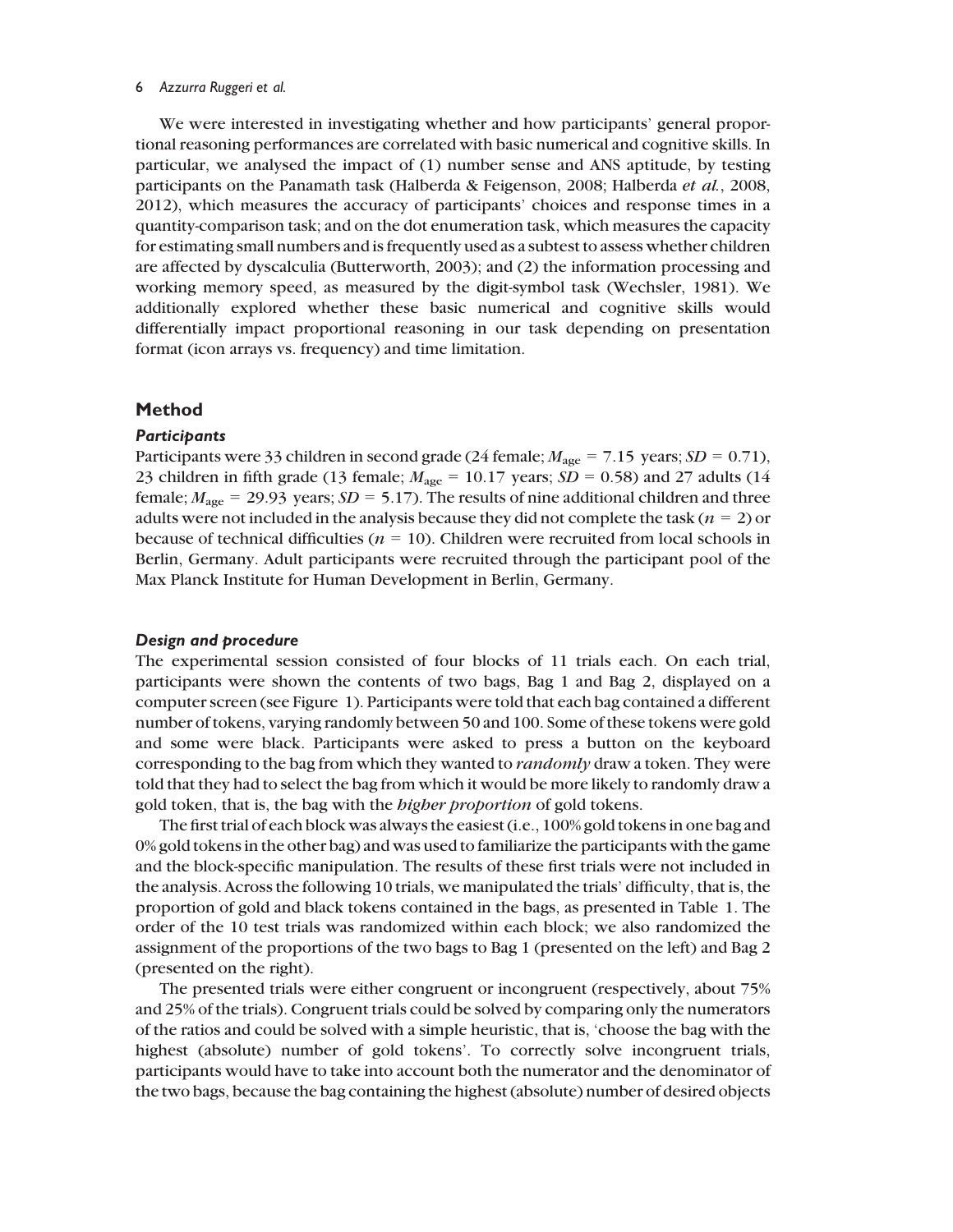We were interested in investigating whether and how participants' general proportional reasoning performances are correlated with basic numerical and cognitive skills. In particular, we analysed the impact of (1) number sense and ANS aptitude, by testing participants on the Panamath task (Halberda & Feigenson, 2008; Halberda et al., 2008, 2012), which measures the accuracy of participants' choices and response times in a quantity-comparison task; and on the dot enumeration task, which measures the capacity for estimating small numbers and is frequently used as a subtest to assess whether children are affected by dyscalculia (Butterworth, 2003); and (2) the information processing and working memory speed, as measured by the digit-symbol task (Wechsler, 1981). We additionally explored whether these basic numerical and cognitive skills would differentially impact proportional reasoning in our task depending on presentation format (icon arrays vs. frequency) and time limitation.

# Method

# **Participants**

Participants were 33 children in second grade (24 female;  $M_{\text{age}} = 7.15$  years;  $SD = 0.71$ ), 23 children in fifth grade (13 female;  $M_{\text{age}} = 10.17$  years;  $SD = 0.58$ ) and 27 adults (14 female;  $M_{\text{age}} = 29.93$  years;  $SD = 5.17$ ). The results of nine additional children and three adults were not included in the analysis because they did not complete the task ( $n = 2$ ) or because of technical difficulties ( $n = 10$ ). Children were recruited from local schools in Berlin, Germany. Adult participants were recruited through the participant pool of the Max Planck Institute for Human Development in Berlin, Germany.

#### Design and procedure

The experimental session consisted of four blocks of 11 trials each. On each trial, participants were shown the contents of two bags, Bag 1 and Bag 2, displayed on a computer screen (see Figure 1). Participants were told that each bag contained a different number of tokens, varying randomly between 50 and 100. Some of these tokens were gold and some were black. Participants were asked to press a button on the keyboard corresponding to the bag from which they wanted to *randomly* draw a token. They were told that they had to select the bag from which it would be more likely to randomly draw a gold token, that is, the bag with the higher proportion of gold tokens.

The first trial of each block was always the easiest (i.e., 100% gold tokens in one bag and 0% gold tokens in the other bag) and was used to familiarize the participants with the game and the block-specific manipulation. The results of these first trials were not included in the analysis. Across the following 10 trials, we manipulated the trials' difficulty, that is, the proportion of gold and black tokens contained in the bags, as presented in Table 1. The order of the 10 test trials was randomized within each block; we also randomized the assignment of the proportions of the two bags to Bag 1 (presented on the left) and Bag 2 (presented on the right).

The presented trials were either congruent or incongruent (respectively, about 75% and 25% of the trials). Congruent trials could be solved by comparing only the numerators of the ratios and could be solved with a simple heuristic, that is, 'choose the bag with the highest (absolute) number of gold tokens'. To correctly solve incongruent trials, participants would have to take into account both the numerator and the denominator of the two bags, because the bag containing the highest (absolute) number of desired objects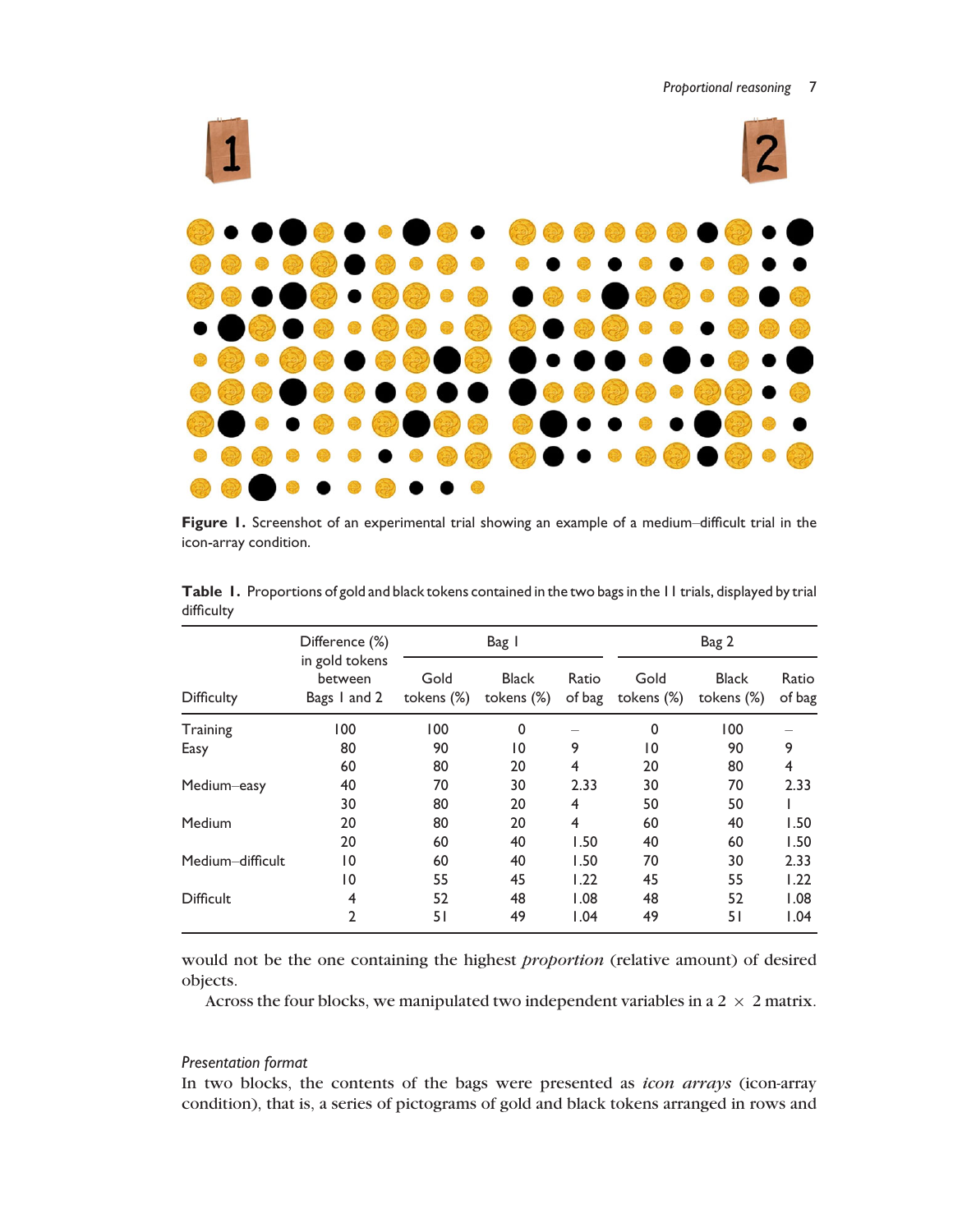

Figure 1. Screenshot of an experimental trial showing an example of a medium–difficult trial in the icon-array condition.

|                   | Difference (%)                            |                    | Bag I                      |                 |                    | Bag 2                      |                 |
|-------------------|-------------------------------------------|--------------------|----------------------------|-----------------|--------------------|----------------------------|-----------------|
| <b>Difficulty</b> | in gold tokens<br>between<br>Bags I and 2 | Gold<br>tokens (%) | <b>Black</b><br>tokens (%) | Ratio<br>of bag | Gold<br>tokens (%) | <b>Black</b><br>tokens (%) | Ratio<br>of bag |
| Training          | 100                                       | 100                | 0                          |                 | $\Omega$           | 100                        |                 |
| Easy              | 80                                        | 90                 | 10                         | 9               | $\overline{10}$    | 90                         | 9               |
|                   | 60                                        | 80                 | 20                         | $\overline{4}$  | 20                 | 80                         | 4               |
| Medium-easy       | 40                                        | 70                 | 30                         | 2.33            | 30                 | 70                         | 2.33            |
|                   | 30                                        | 80                 | 20                         | 4               | 50                 | 50                         |                 |
| Medium            | 20                                        | 80                 | 20                         | $\overline{4}$  | 60                 | 40                         | 1.50            |
|                   | 20                                        | 60                 | 40                         | 1.50            | 40                 | 60                         | 1.50            |
| Medium-difficult  | 10                                        | 60                 | 40                         | 1.50            | 70                 | 30                         | 2.33            |
|                   | 10                                        | 55                 | 45                         | 1.22            | 45                 | 55                         | 1.22            |
| <b>Difficult</b>  | 4                                         | 52                 | 48                         | 1.08            | 48                 | 52                         | 1.08            |
|                   | $\overline{2}$                            | 51                 | 49                         | 1.04            | 49                 | 51                         | 1.04            |

Table 1. Proportions of gold and black tokens contained in the two bags in the 11 trials, displayed by trial difficulty

would not be the one containing the highest proportion (relative amount) of desired objects.

Across the four blocks, we manipulated two independent variables in a  $2 \times 2$  matrix.

# Presentation format

In two blocks, the contents of the bags were presented as *icon arrays* (icon-array condition), that is, a series of pictograms of gold and black tokens arranged in rows and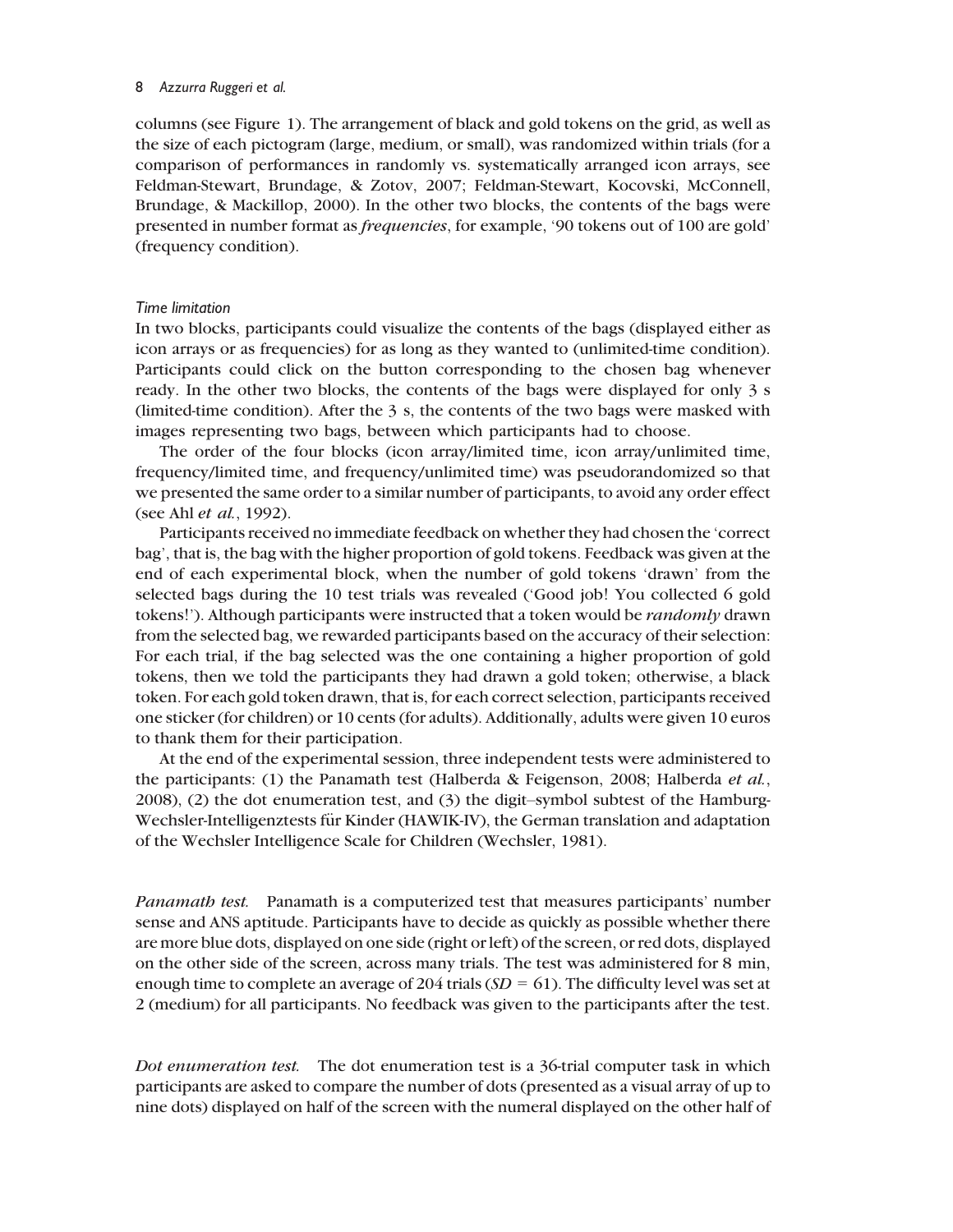columns (see Figure 1). The arrangement of black and gold tokens on the grid, as well as the size of each pictogram (large, medium, or small), was randomized within trials (for a comparison of performances in randomly vs. systematically arranged icon arrays, see Feldman-Stewart, Brundage, & Zotov, 2007; Feldman-Stewart, Kocovski, McConnell, Brundage, & Mackillop, 2000). In the other two blocks, the contents of the bags were presented in number format as frequencies, for example, '90 tokens out of 100 are gold' (frequency condition).

## Time limitation

In two blocks, participants could visualize the contents of the bags (displayed either as icon arrays or as frequencies) for as long as they wanted to (unlimited-time condition). Participants could click on the button corresponding to the chosen bag whenever ready. In the other two blocks, the contents of the bags were displayed for only 3 s (limited-time condition). After the 3 s, the contents of the two bags were masked with images representing two bags, between which participants had to choose.

The order of the four blocks (icon array/limited time, icon array/unlimited time, frequency/limited time, and frequency/unlimited time) was pseudorandomized so that we presented the same order to a similar number of participants, to avoid any order effect (see Ahl et al., 1992).

Participants received no immediate feedback on whether they had chosen the 'correct bag', that is, the bag with the higher proportion of gold tokens. Feedback was given at the end of each experimental block, when the number of gold tokens 'drawn' from the selected bags during the 10 test trials was revealed ('Good job! You collected 6 gold tokens!'). Although participants were instructed that a token would be randomly drawn from the selected bag, we rewarded participants based on the accuracy of their selection: For each trial, if the bag selected was the one containing a higher proportion of gold tokens, then we told the participants they had drawn a gold token; otherwise, a black token. For each gold token drawn, that is, for each correct selection, participants received one sticker (for children) or 10 cents (for adults). Additionally, adults were given 10 euros to thank them for their participation.

At the end of the experimental session, three independent tests were administered to the participants: (1) the Panamath test (Halberda & Feigenson, 2008; Halberda et al., 2008), (2) the dot enumeration test, and (3) the digit–symbol subtest of the Hamburg-Wechsler-Intelligenztests für Kinder (HAWIK-IV), the German translation and adaptation of the Wechsler Intelligence Scale for Children (Wechsler, 1981).

Panamath test. Panamath is a computerized test that measures participants' number sense and ANS aptitude. Participants have to decide as quickly as possible whether there are more blue dots, displayed on one side (right or left) of the screen, or red dots, displayed on the other side of the screen, across many trials. The test was administered for 8 min, enough time to complete an average of 204 trials  $(SD = 61)$ . The difficulty level was set at 2 (medium) for all participants. No feedback was given to the participants after the test.

Dot enumeration test. The dot enumeration test is a 36-trial computer task in which participants are asked to compare the number of dots (presented as a visual array of up to nine dots) displayed on half of the screen with the numeral displayed on the other half of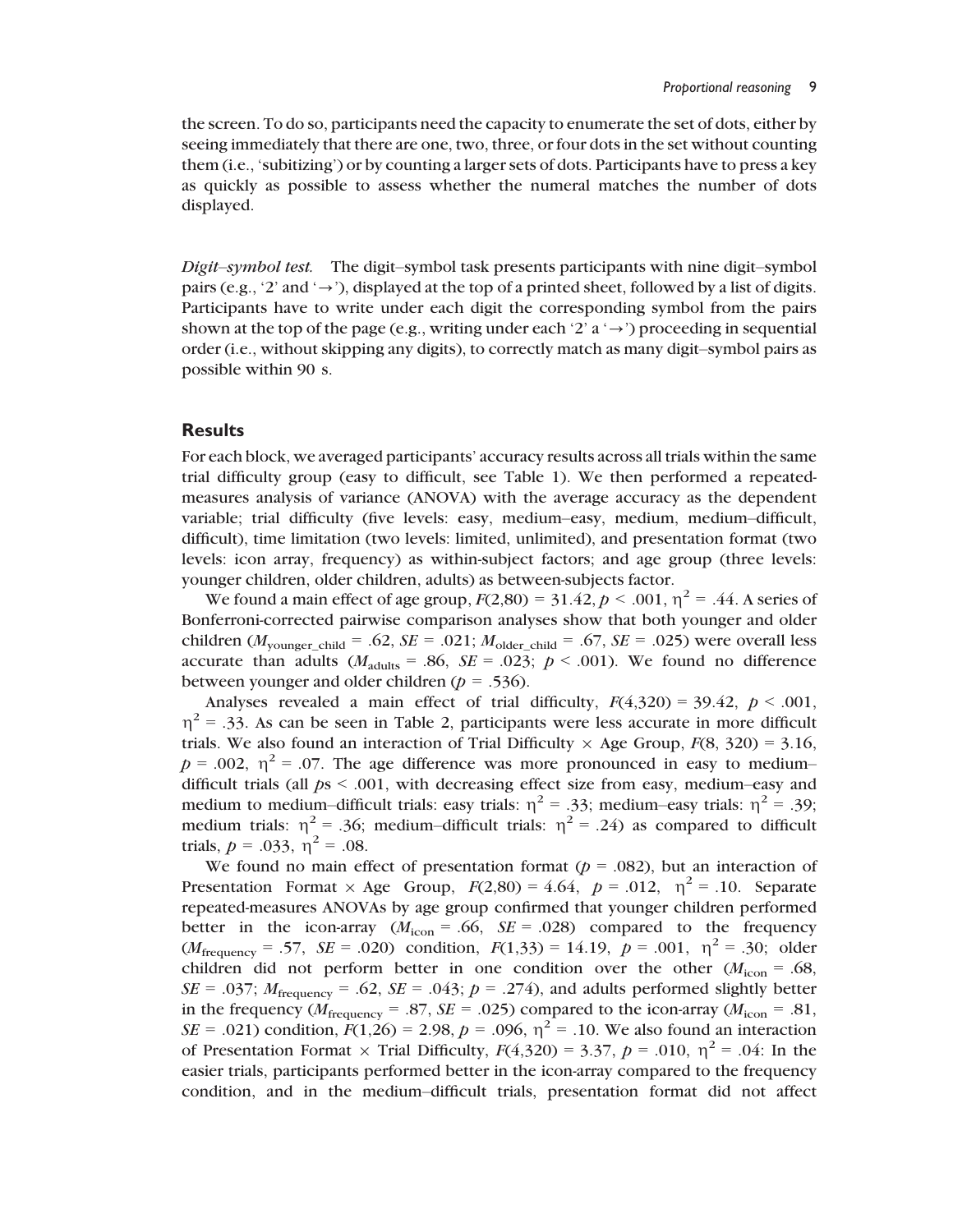the screen. To do so, participants need the capacity to enumerate the set of dots, either by seeing immediately that there are one, two, three, or four dots in the set without counting them (i.e., 'subitizing') or by counting a larger sets of dots. Participants have to press a key as quickly as possible to assess whether the numeral matches the number of dots displayed.

Digit–symbol test. The digit–symbol task presents participants with nine digit–symbol pairs (e.g., '2' and ' $\rightarrow$ '), displayed at the top of a printed sheet, followed by a list of digits. Participants have to write under each digit the corresponding symbol from the pairs shown at the top of the page (e.g., writing under each '2' a ' $\rightarrow$ ') proceeding in sequential order (i.e., without skipping any digits), to correctly match as many digit–symbol pairs as possible within 90 s.

# **Results**

For each block, we averaged participants' accuracy results across all trials within the same trial difficulty group (easy to difficult, see Table 1). We then performed a repeatedmeasures analysis of variance (ANOVA) with the average accuracy as the dependent variable; trial difficulty (five levels: easy, medium–easy, medium, medium–difficult, difficult), time limitation (two levels: limited, unlimited), and presentation format (two levels: icon array, frequency) as within-subject factors; and age group (three levels: younger children, older children, adults) as between-subjects factor.

We found a main effect of age group,  $F(2,80) = 31.42, p < .001, \eta^2 = .44$ . A series of Bonferroni-corrected pairwise comparison analyses show that both younger and older children ( $M_{\text{vounger child}} = .62$ ,  $SE = .021$ ;  $M_{\text{older child}} = .67$ ,  $SE = .025$ ) were overall less accurate than adults  $(M_{\text{adults}} = .86, SE = .023; p < .001)$ . We found no difference between younger and older children ( $p = .536$ ).

Analyses revealed a main effect of trial difficulty,  $F(4,320) = 39.42$ ,  $p < .001$ ,  $\eta^2$  = .33. As can be seen in Table 2, participants were less accurate in more difficult trials. We also found an interaction of Trial Difficulty  $\times$  Age Group,  $F(8, 320) = 3.16$ ,  $p = .002$ ,  $\eta^2 = .07$ . The age difference was more pronounced in easy to medium– difficult trials (all  $ps < .001$ , with decreasing effect size from easy, medium–easy and medium to medium–difficult trials: easy trials:  $\eta^2 = .33$ ; medium–easy trials:  $\eta^2 = .39$ ; medium trials:  $\eta^2 = 0.36$ ; medium-difficult trials:  $\eta^2 = 0.24$ ) as compared to difficult trials,  $p = .033$ ,  $\eta^2 = .08$ .

We found no main effect of presentation format ( $p = .082$ ), but an interaction of Presentation Format  $\times$  Age Group,  $F(2,80) = 4.64$ ,  $p = .012$ ,  $\eta^2 = .10$ . Separate repeated-measures ANOVAs by age group confirmed that younger children performed better in the icon-array  $(M_{\text{icon}} = .66, \text{ } SE = .028)$  compared to the frequency  $(M_{\text{frequency}} = .57, \ \text{SE} = .020)$  condition,  $F(1,33) = 14.19, \ p = .001, \ \eta^2 = .30;$  older children did not perform better in one condition over the other  $(M_{\text{icon}} = .68)$ ,  $SE = .037$ ;  $M_{\text{frequency}} = .62$ ,  $SE = .043$ ;  $p = .274$ ), and adults performed slightly better in the frequency ( $M_{\text{frequency}} = .87$ ,  $SE = .025$ ) compared to the icon-array ( $M_{\text{icon}} = .81$ ,  $SE = .021$ ) condition,  $F(1,26) = 2.98$ ,  $p = .096$ ,  $\eta^2 = .10$ . We also found an interaction of Presentation Format  $\times$  Trial Difficulty,  $F(4,320) = 3.37$ ,  $p = .010$ ,  $\eta^2 = .04$ : In the easier trials, participants performed better in the icon-array compared to the frequency condition, and in the medium–difficult trials, presentation format did not affect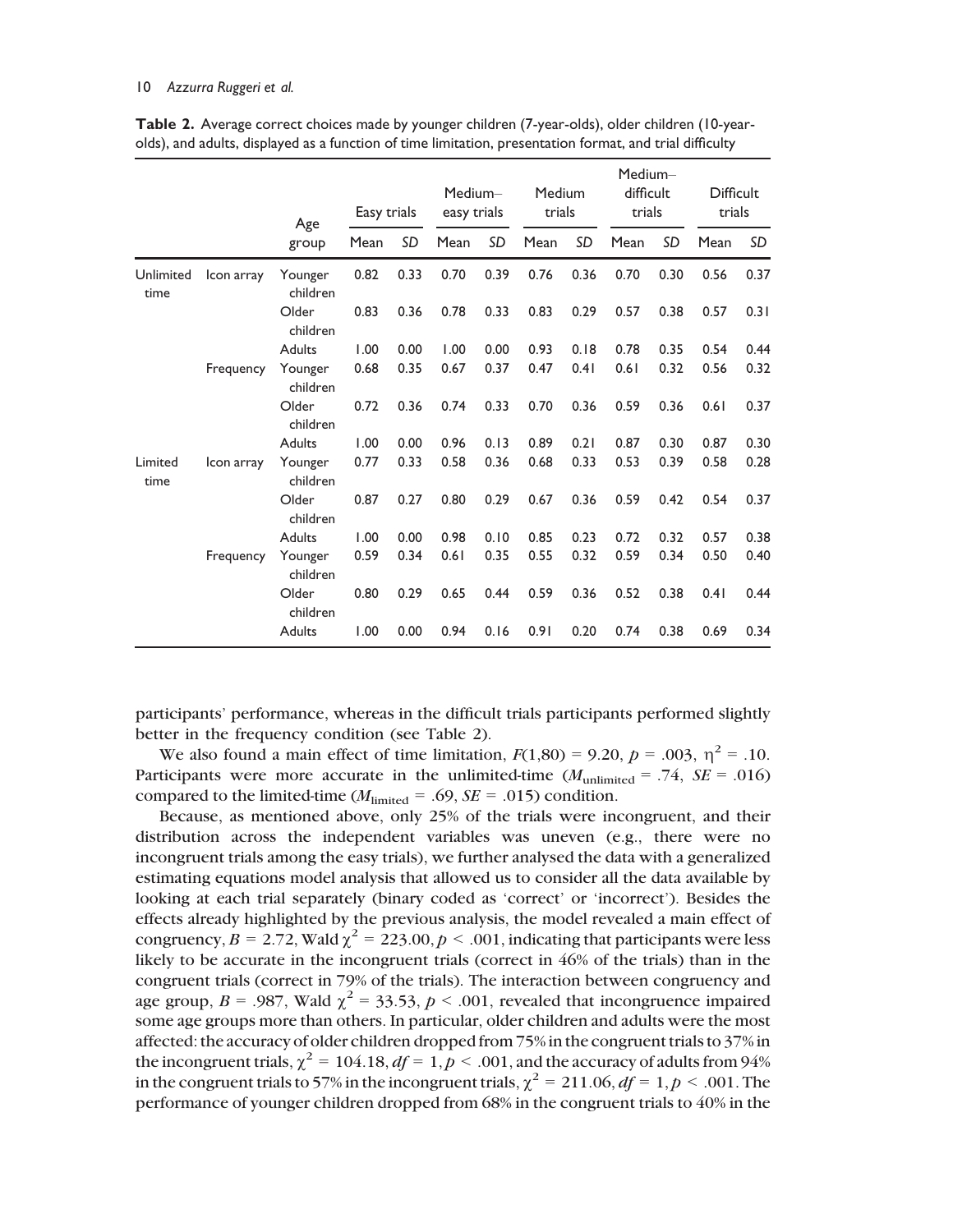|                   |            | Age                 | Easy trials |      | Medium-<br>easy trials |      | Medium<br>trials |           | Medium-<br>difficult<br>trials |      | <b>Difficult</b><br>trials |      |
|-------------------|------------|---------------------|-------------|------|------------------------|------|------------------|-----------|--------------------------------|------|----------------------------|------|
|                   |            | group               | Mean        | SD   | Mean                   | SD   | Mean             | <b>SD</b> | Mean                           | SD   | Mean                       | SD   |
| Unlimited<br>time | Icon array | Younger<br>children | 0.82        | 0.33 | 0.70                   | 0.39 | 0.76             | 0.36      | 0.70                           | 0.30 | 0.56                       | 0.37 |
|                   |            | Older<br>children   | 0.83        | 0.36 | 0.78                   | 0.33 | 0.83             | 0.29      | 0.57                           | 0.38 | 0.57                       | 0.31 |
|                   |            | Adults              | 1.00        | 0.00 | 1.00                   | 0.00 | 0.93             | 0.18      | 0.78                           | 0.35 | 0.54                       | 0.44 |
|                   | Frequency  | Younger<br>children | 0.68        | 0.35 | 0.67                   | 0.37 | 0.47             | 0.41      | 0.61                           | 0.32 | 0.56                       | 0.32 |
|                   |            | Older<br>children   | 0.72        | 0.36 | 0.74                   | 0.33 | 0.70             | 0.36      | 0.59                           | 0.36 | 0.61                       | 0.37 |
|                   |            | <b>Adults</b>       | 1.00        | 0.00 | 0.96                   | 0.13 | 0.89             | 0.21      | 0.87                           | 0.30 | 0.87                       | 0.30 |
| Limited<br>time   | Icon array | Younger<br>children | 0.77        | 0.33 | 0.58                   | 0.36 | 0.68             | 0.33      | 0.53                           | 0.39 | 0.58                       | 0.28 |
|                   |            | Older<br>children   | 0.87        | 0.27 | 0.80                   | 0.29 | 0.67             | 0.36      | 0.59                           | 0.42 | 0.54                       | 0.37 |
|                   |            | Adults              | 1.00        | 0.00 | 0.98                   | 0.10 | 0.85             | 0.23      | 0.72                           | 0.32 | 0.57                       | 0.38 |
|                   | Frequency  | Younger<br>children | 0.59        | 0.34 | 0.61                   | 0.35 | 0.55             | 0.32      | 0.59                           | 0.34 | 0.50                       | 0.40 |
|                   |            | Older<br>children   | 0.80        | 0.29 | 0.65                   | 0.44 | 0.59             | 0.36      | 0.52                           | 0.38 | 0.41                       | 0.44 |
|                   |            | Adults              | 1.00        | 0.00 | 0.94                   | 0.16 | 0.91             | 0.20      | 0.74                           | 0.38 | 0.69                       | 0.34 |

Table 2. Average correct choices made by younger children (7-year-olds), older children (10-yearolds), and adults, displayed as a function of time limitation, presentation format, and trial difficulty

participants' performance, whereas in the difficult trials participants performed slightly better in the frequency condition (see Table 2).

We also found a main effect of time limitation,  $F(1,80) = 9.20$ ,  $p = .003$ ,  $\eta^2 = .10$ . Participants were more accurate in the unlimited-time  $(M_{\text{unlimited}} = .74, SE = .016)$ compared to the limited-time ( $M_{\text{limited}} = .69$ ,  $SE = .015$ ) condition.

Because, as mentioned above, only 25% of the trials were incongruent, and their distribution across the independent variables was uneven (e.g., there were no incongruent trials among the easy trials), we further analysed the data with a generalized estimating equations model analysis that allowed us to consider all the data available by looking at each trial separately (binary coded as 'correct' or 'incorrect'). Besides the effects already highlighted by the previous analysis, the model revealed a main effect of congruency,  $B = 2.72$ , Wald  $\chi^2 = 223.00$ ,  $p < .001$ , indicating that participants were less likely to be accurate in the incongruent trials (correct in 46% of the trials) than in the congruent trials (correct in 79% of the trials). The interaction between congruency and age group,  $B = .987$ , Wald  $\chi^2 = 33.53$ ,  $p < .001$ , revealed that incongruence impaired some age groups more than others. In particular, older children and adults were the most affected: the accuracy of older children dropped from 75% in the congruent trials to 37% in the incongruent trials,  $\chi^2 = 104.18$ ,  $df = 1$ ,  $p < .001$ , and the accuracy of adults from 94% in the congruent trials to 57% in the incongruent trials,  $\chi^2 = 211.06$ ,  $df = 1$ ,  $p < .001$ . The performance of younger children dropped from 68% in the congruent trials to 40% in the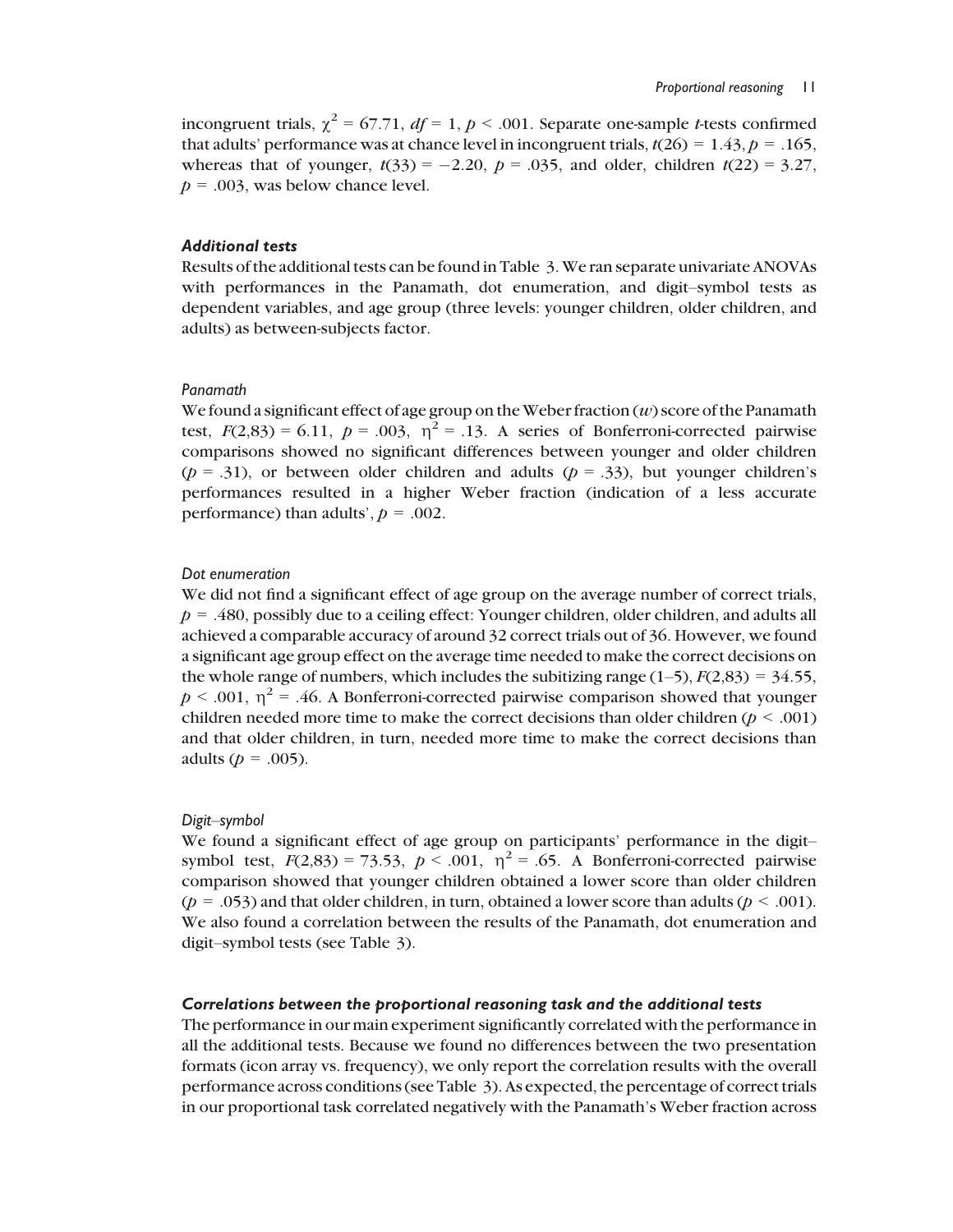incongruent trials,  $\chi^2 = 67.71$ ,  $df = 1$ ,  $p < .001$ . Separate one-sample *t*-tests confirmed that adults' performance was at chance level in incongruent trials,  $t(26) = 1.43$ ,  $p = .165$ , whereas that of younger,  $t(33) = -2.20$ ,  $p = .035$ , and older, children  $t(22) = 3.27$ ,  $p = .003$ , was below chance level.

# Additional tests

Results of the additional tests can be found in Table 3.We ran separate univariate ANOVAs with performances in the Panamath, dot enumeration, and digit–symbol tests as dependent variables, and age group (three levels: younger children, older children, and adults) as between-subjects factor.

#### Panamath

We found a significant effect of age group on the Weber fraction  $(w)$  score of the Panamath test,  $F(2,83) = 6.11$ ,  $p = .003$ ,  $\eta^2 = .13$ . A series of Bonferroni-corrected pairwise comparisons showed no significant differences between younger and older children ( $p = .31$ ), or between older children and adults ( $p = .33$ ), but younger children's performances resulted in a higher Weber fraction (indication of a less accurate performance) than adults',  $p = .002$ .

## Dot enumeration

We did not find a significant effect of age group on the average number of correct trials,  $p = .480$ , possibly due to a ceiling effect: Younger children, older children, and adults all achieved a comparable accuracy of around 32 correct trials out of 36. However, we found a significant age group effect on the average time needed to make the correct decisions on the whole range of numbers, which includes the subitizing range  $(1-5)$ ,  $F(2,83) = 34.55$ ,  $p < .001$ ,  $\eta^2 = .46$ . A Bonferroni-corrected pairwise comparison showed that younger children needed more time to make the correct decisions than older children ( $p < .001$ ) and that older children, in turn, needed more time to make the correct decisions than adults ( $p = .005$ ).

#### Digit–symbol

We found a significant effect of age group on participants' performance in the digit– symbol test,  $F(2,83) = 73.53$ ,  $p < .001$ ,  $\eta^2 = .65$ . A Bonferroni-corrected pairwise comparison showed that younger children obtained a lower score than older children  $(p = .053)$  and that older children, in turn, obtained a lower score than adults  $(p < .001)$ . We also found a correlation between the results of the Panamath, dot enumeration and digit–symbol tests (see Table 3).

#### Correlations between the proportional reasoning task and the additional tests

The performance in our main experiment significantly correlated with the performance in all the additional tests. Because we found no differences between the two presentation formats (icon array vs. frequency), we only report the correlation results with the overall performance across conditions (see Table 3). As expected, the percentage of correct trials in our proportional task correlated negatively with the Panamath's Weber fraction across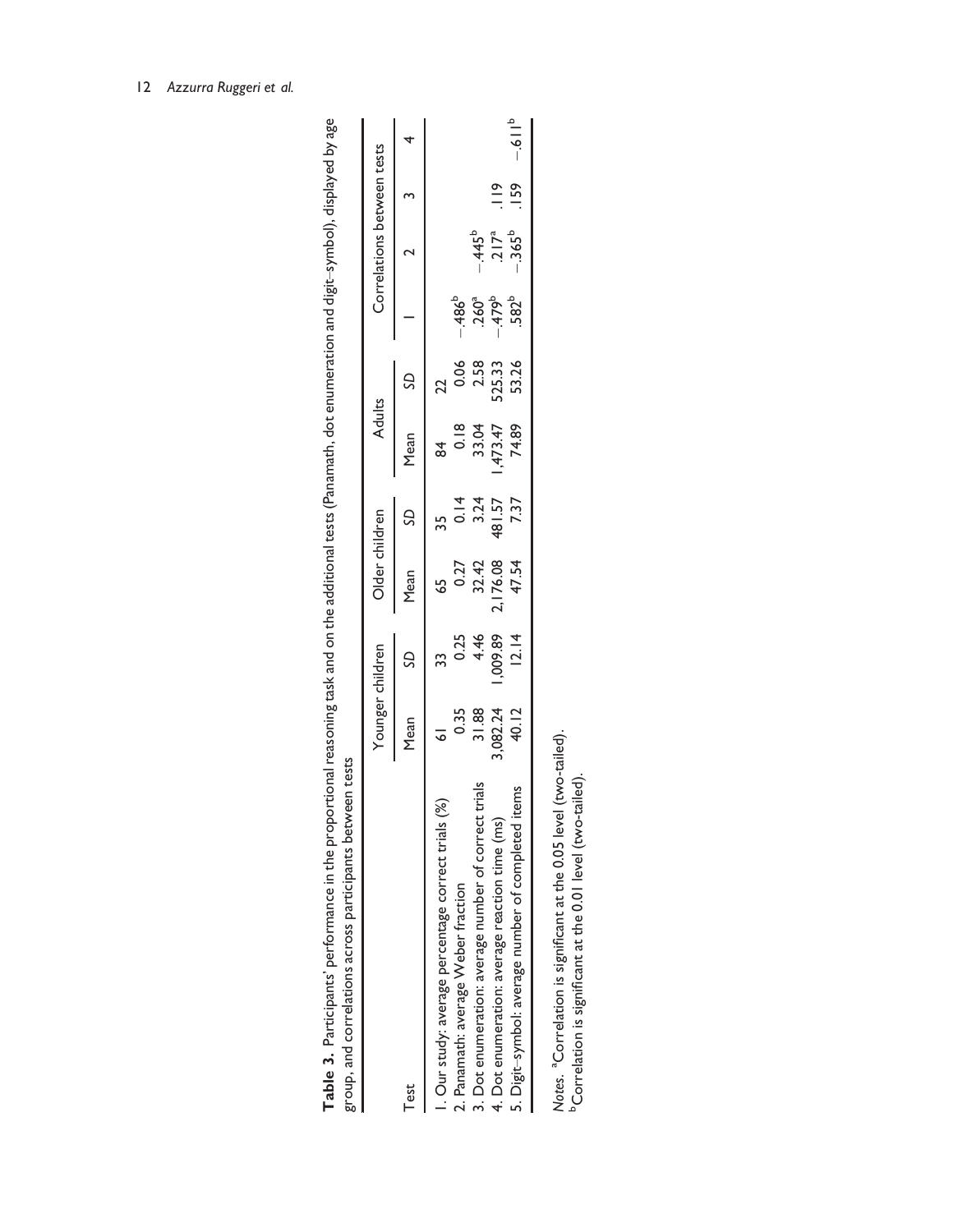|                                                      |                | Younger children | Older children                       |                  | <b>Adults</b>                   |                 |                                                                | Correlations between tests                        |               |            |
|------------------------------------------------------|----------------|------------------|--------------------------------------|------------------|---------------------------------|-----------------|----------------------------------------------------------------|---------------------------------------------------|---------------|------------|
| Test                                                 | Mean           | SD               | Mean                                 | S                | Mean                            | S               |                                                                |                                                   |               |            |
| I. Our study: average percentage correct trials (%)  | $\overline{6}$ | 33               | 59                                   | 35               | ಕೆ                              | 22              |                                                                |                                                   |               |            |
| 2. Panamath: average Weber fraction                  |                |                  |                                      |                  |                                 |                 |                                                                |                                                   |               |            |
| 3. Dot enumeration: average number of correct trials | 0.35<br>31.88  | $0.25$<br>4.46   | $0.27$<br>32.42<br>2.176.08<br>47.54 | $0.14$<br>$3.24$ | 0.18<br>33.04<br>33.04<br>34.89 | 0.06<br>2.58    | - 486 <sup>6</sup><br>- 360 <sup>a</sup><br>- 479 <sup>b</sup> |                                                   |               |            |
| 4. Dot enumeration: average reaction time (ms)       | 1,082.24       | ,009.89          |                                      | 481.57           |                                 | 525.33<br>53.26 |                                                                | $-445^b$<br>217 <sup>a</sup><br>-365 <sup>b</sup> | $\frac{9}{1}$ |            |
| 5. Digit-symbol: average number of completed items   | 40.12          | 2.14             |                                      | 7.37             |                                 |                 |                                                                |                                                   | .159          | $d = 16 -$ |

Table 3. Participants' performance in the proportional reasoning task and on the additional tests (Panamath, dot enumeration and digit–symbol), displayed by age

Table 3. Participants' performance in the proportional reasoning task and on the additional tests (Panamath, dot enumeration and digit-symbol), displayed by age

Notes. <sup>a</sup>Correlation is significant at the 0.05 level (two-tailed).<br><sup>b</sup>Correlation is significant at the 0.01 level (two-tailed). Notes. aCorrelation is significant at the 0.05 level (two-tailed). bCorrelation is significant at the 0.01 level (two-tailed).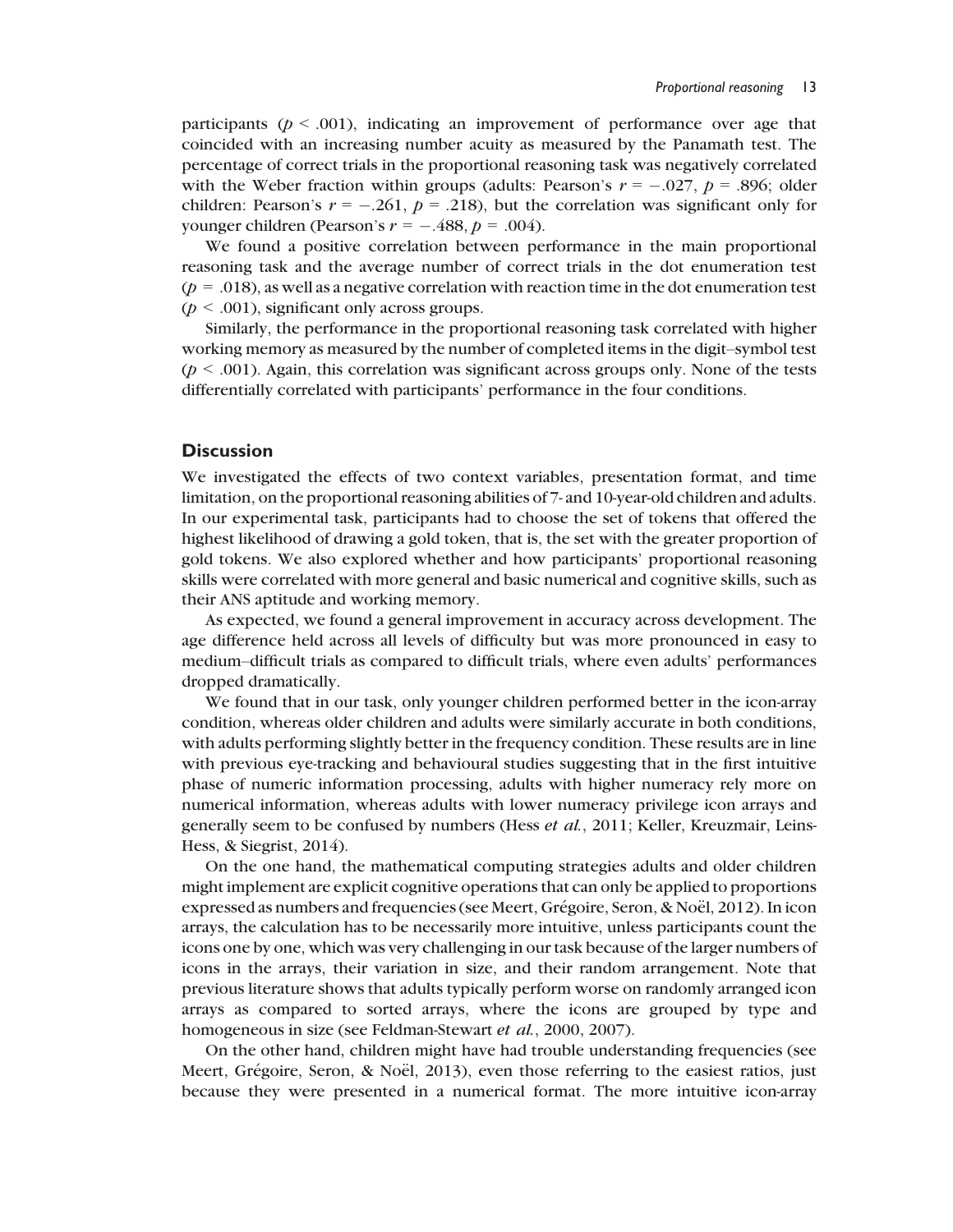participants ( $p < .001$ ), indicating an improvement of performance over age that coincided with an increasing number acuity as measured by the Panamath test. The percentage of correct trials in the proportional reasoning task was negatively correlated with the Weber fraction within groups (adults: Pearson's  $r = -.027$ ,  $p = .896$ ; older children: Pearson's  $r = -.261$ ,  $p = .218$ ), but the correlation was significant only for younger children (Pearson's  $r = -.488$ ,  $p = .004$ ).

We found a positive correlation between performance in the main proportional reasoning task and the average number of correct trials in the dot enumeration test  $(p = .018)$ , as well as a negative correlation with reaction time in the dot enumeration test  $(p < .001)$ , significant only across groups.

Similarly, the performance in the proportional reasoning task correlated with higher working memory as measured by the number of completed items in the digit–symbol test  $(p < .001)$ . Again, this correlation was significant across groups only. None of the tests differentially correlated with participants' performance in the four conditions.

#### **Discussion**

We investigated the effects of two context variables, presentation format, and time limitation, on the proportional reasoning abilities of 7- and 10-year-old children and adults. In our experimental task, participants had to choose the set of tokens that offered the highest likelihood of drawing a gold token, that is, the set with the greater proportion of gold tokens. We also explored whether and how participants' proportional reasoning skills were correlated with more general and basic numerical and cognitive skills, such as their ANS aptitude and working memory.

As expected, we found a general improvement in accuracy across development. The age difference held across all levels of difficulty but was more pronounced in easy to medium–difficult trials as compared to difficult trials, where even adults' performances dropped dramatically.

We found that in our task, only younger children performed better in the icon-array condition, whereas older children and adults were similarly accurate in both conditions, with adults performing slightly better in the frequency condition. These results are in line with previous eye-tracking and behavioural studies suggesting that in the first intuitive phase of numeric information processing, adults with higher numeracy rely more on numerical information, whereas adults with lower numeracy privilege icon arrays and generally seem to be confused by numbers (Hess et al., 2011; Keller, Kreuzmair, Leins-Hess, & Siegrist, 2014).

On the one hand, the mathematical computing strategies adults and older children might implement are explicit cognitive operations that can only be applied to proportions expressed as numbers and frequencies (see Meert, Grégoire, Seron, & Noël, 2012). In icon arrays, the calculation has to be necessarily more intuitive, unless participants count the icons one by one, which was very challenging in our task because of the larger numbers of icons in the arrays, their variation in size, and their random arrangement. Note that previous literature shows that adults typically perform worse on randomly arranged icon arrays as compared to sorted arrays, where the icons are grouped by type and homogeneous in size (see Feldman-Stewart *et al.*, 2000, 2007).

On the other hand, children might have had trouble understanding frequencies (see Meert, Grégoire, Seron,  $\&$  Noël, 2013), even those referring to the easiest ratios, just because they were presented in a numerical format. The more intuitive icon-array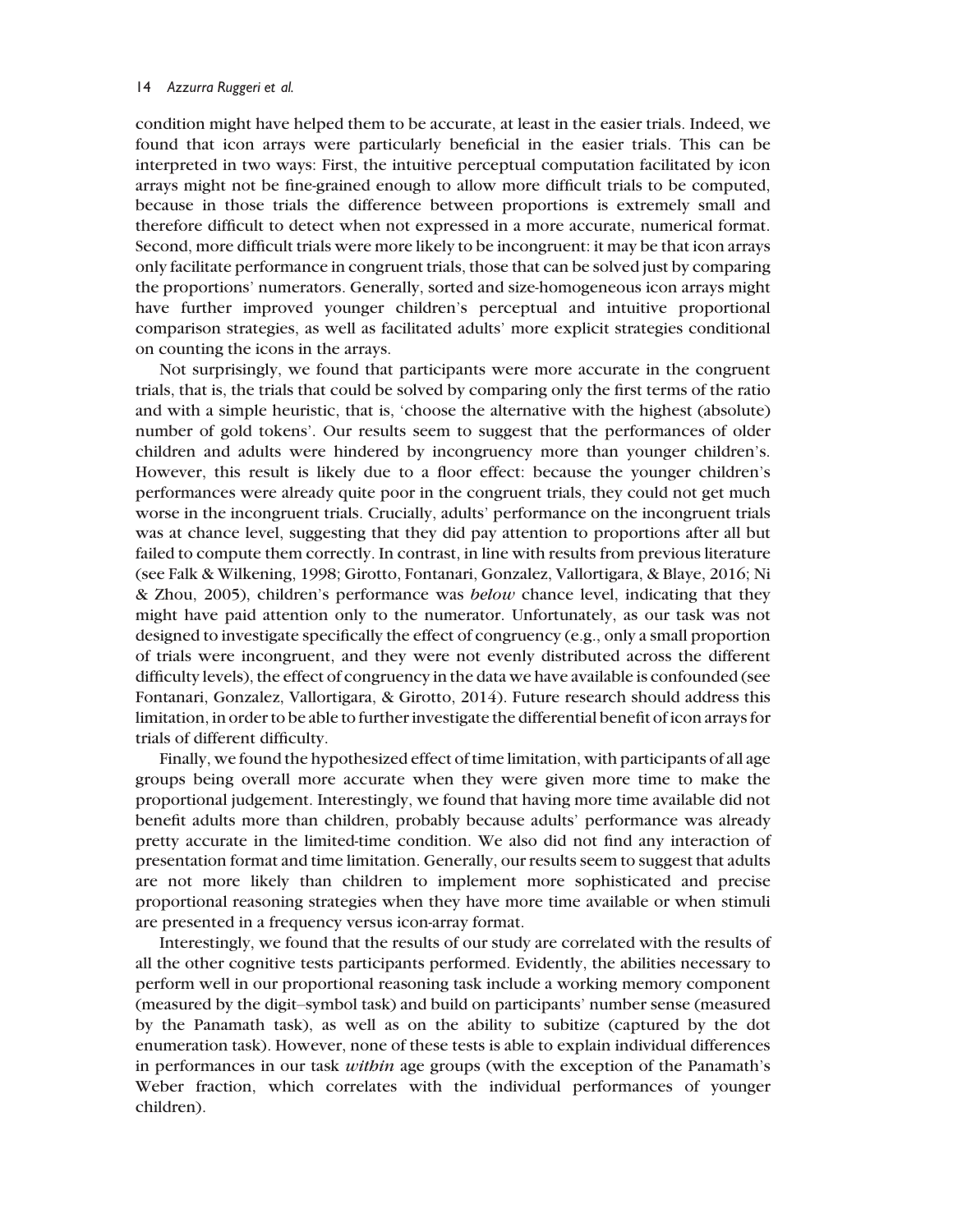condition might have helped them to be accurate, at least in the easier trials. Indeed, we found that icon arrays were particularly beneficial in the easier trials. This can be interpreted in two ways: First, the intuitive perceptual computation facilitated by icon arrays might not be fine-grained enough to allow more difficult trials to be computed, because in those trials the difference between proportions is extremely small and therefore difficult to detect when not expressed in a more accurate, numerical format. Second, more difficult trials were more likely to be incongruent: it may be that icon arrays only facilitate performance in congruent trials, those that can be solved just by comparing the proportions' numerators. Generally, sorted and size-homogeneous icon arrays might have further improved younger children's perceptual and intuitive proportional comparison strategies, as well as facilitated adults' more explicit strategies conditional on counting the icons in the arrays.

Not surprisingly, we found that participants were more accurate in the congruent trials, that is, the trials that could be solved by comparing only the first terms of the ratio and with a simple heuristic, that is, 'choose the alternative with the highest (absolute) number of gold tokens'. Our results seem to suggest that the performances of older children and adults were hindered by incongruency more than younger children's. However, this result is likely due to a floor effect: because the younger children's performances were already quite poor in the congruent trials, they could not get much worse in the incongruent trials. Crucially, adults' performance on the incongruent trials was at chance level, suggesting that they did pay attention to proportions after all but failed to compute them correctly. In contrast, in line with results from previous literature (see Falk & Wilkening, 1998; Girotto, Fontanari, Gonzalez, Vallortigara, & Blaye, 2016; Ni & Zhou, 2005), children's performance was below chance level, indicating that they might have paid attention only to the numerator. Unfortunately, as our task was not designed to investigate specifically the effect of congruency (e.g., only a small proportion of trials were incongruent, and they were not evenly distributed across the different difficulty levels), the effect of congruency in the data we have available is confounded (see Fontanari, Gonzalez, Vallortigara, & Girotto, 2014). Future research should address this limitation, in order to be able to further investigate the differential benefit of icon arrays for trials of different difficulty.

Finally, we found the hypothesized effect of time limitation, with participants of all age groups being overall more accurate when they were given more time to make the proportional judgement. Interestingly, we found that having more time available did not benefit adults more than children, probably because adults' performance was already pretty accurate in the limited-time condition. We also did not find any interaction of presentation format and time limitation. Generally, our results seem to suggest that adults are not more likely than children to implement more sophisticated and precise proportional reasoning strategies when they have more time available or when stimuli are presented in a frequency versus icon-array format.

Interestingly, we found that the results of our study are correlated with the results of all the other cognitive tests participants performed. Evidently, the abilities necessary to perform well in our proportional reasoning task include a working memory component (measured by the digit–symbol task) and build on participants' number sense (measured by the Panamath task), as well as on the ability to subitize (captured by the dot enumeration task). However, none of these tests is able to explain individual differences in performances in our task *within* age groups (with the exception of the Panamath's Weber fraction, which correlates with the individual performances of younger children).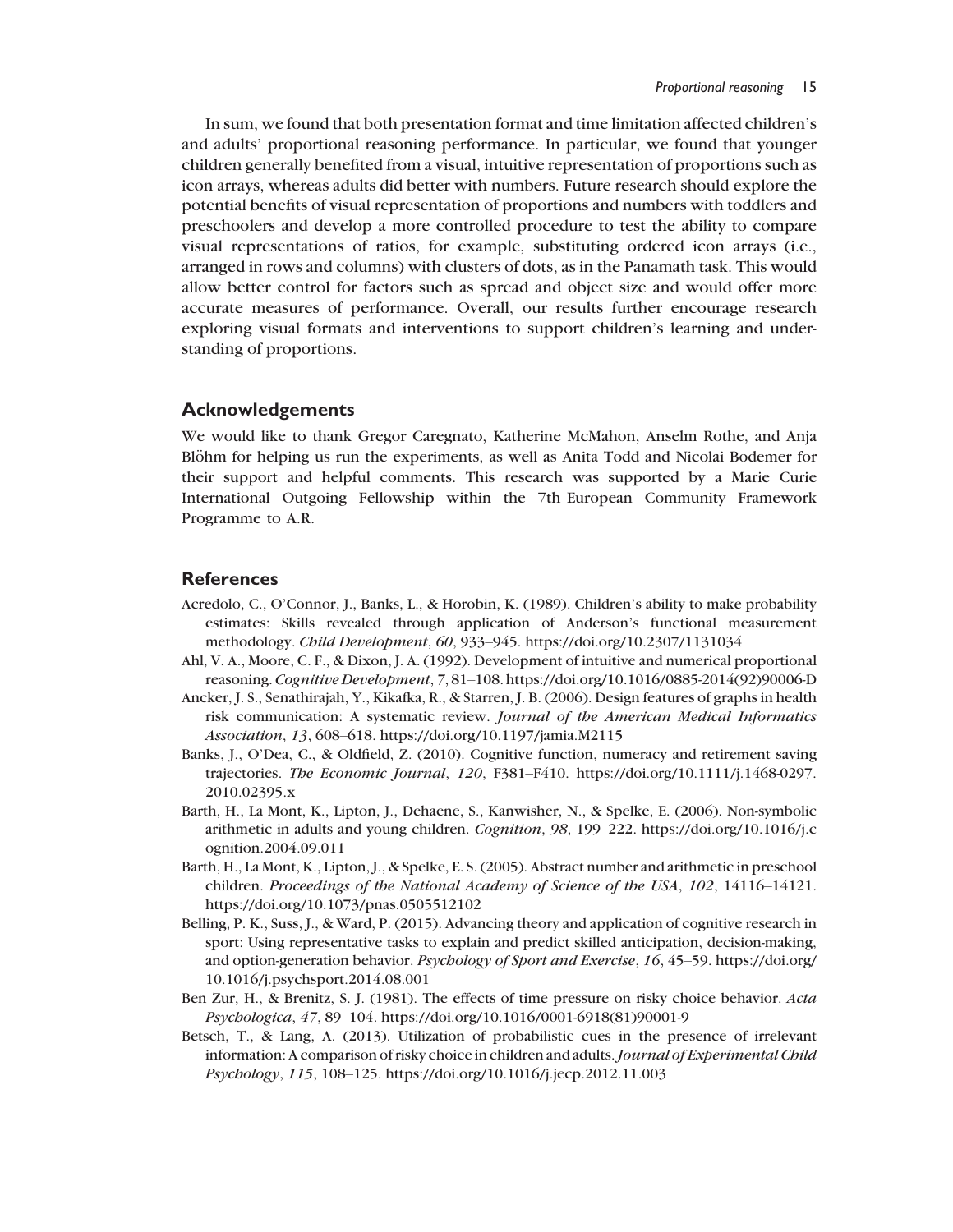In sum, we found that both presentation format and time limitation affected children's and adults' proportional reasoning performance. In particular, we found that younger children generally benefited from a visual, intuitive representation of proportions such as icon arrays, whereas adults did better with numbers. Future research should explore the potential benefits of visual representation of proportions and numbers with toddlers and preschoolers and develop a more controlled procedure to test the ability to compare visual representations of ratios, for example, substituting ordered icon arrays (i.e., arranged in rows and columns) with clusters of dots, as in the Panamath task. This would allow better control for factors such as spread and object size and would offer more accurate measures of performance. Overall, our results further encourage research exploring visual formats and interventions to support children's learning and understanding of proportions.

# Acknowledgements

We would like to thank Gregor Caregnato, Katherine McMahon, Anselm Rothe, and Anja Blöhm for helping us run the experiments, as well as Anita Todd and Nicolai Bodemer for their support and helpful comments. This research was supported by a Marie Curie International Outgoing Fellowship within the 7th European Community Framework Programme to A.R.

# **References**

- Acredolo, C., O'Connor, J., Banks, L., & Horobin, K. (1989). Children's ability to make probability estimates: Skills revealed through application of Anderson's functional measurement methodology. Child Development, 60, 933–945. https://doi.org/10.2307/1131034
- Ahl, V. A., Moore, C. F., & Dixon, J. A. (1992). Development of intuitive and numerical proportional reasoning.Cognitive Development, 7, 81–108. https://doi.org/10.1016/0885-2014(92)90006-D
- Ancker, J. S., Senathirajah, Y., Kikafka, R., & Starren, J. B. (2006). Design features of graphs in health risk communication: A systematic review. Journal of the American Medical Informatics Association, 13, 608–618. https://doi.org/10.1197/jamia.M2115
- Banks, J., O'Dea, C., & Oldfield, Z. (2010). Cognitive function, numeracy and retirement saving trajectories. The Economic Journal, 120, F381–F410. https://doi.org/10.1111/j.1468-0297. 2010.02395.x
- Barth, H., La Mont, K., Lipton, J., Dehaene, S., Kanwisher, N., & Spelke, E. (2006). Non-symbolic arithmetic in adults and young children. Cognition, 98, 199–222. https://doi.org/10.1016/j.c ognition.2004.09.011
- Barth, H., La Mont, K., Lipton, J., & Spelke, E. S. (2005). Abstract number and arithmetic in preschool children. Proceedings of the National Academy of Science of the USA, 102, 14116–14121. https://doi.org/10.1073/pnas.0505512102
- Belling, P. K., Suss, J., & Ward, P. (2015). Advancing theory and application of cognitive research in sport: Using representative tasks to explain and predict skilled anticipation, decision-making, and option-generation behavior. Psychology of Sport and Exercise, 16, 45–59. https://doi.org/ 10.1016/j.psychsport.2014.08.001
- Ben Zur, H., & Brenitz, S. J. (1981). The effects of time pressure on risky choice behavior. Acta Psychologica, 47, 89–104. https://doi.org/10.1016/0001-6918(81)90001-9
- Betsch, T., & Lang, A. (2013). Utilization of probabilistic cues in the presence of irrelevant information: A comparison of risky choice in children and adults. Journal of Experimental Child Psychology, 115, 108–125. https://doi.org/10.1016/j.jecp.2012.11.003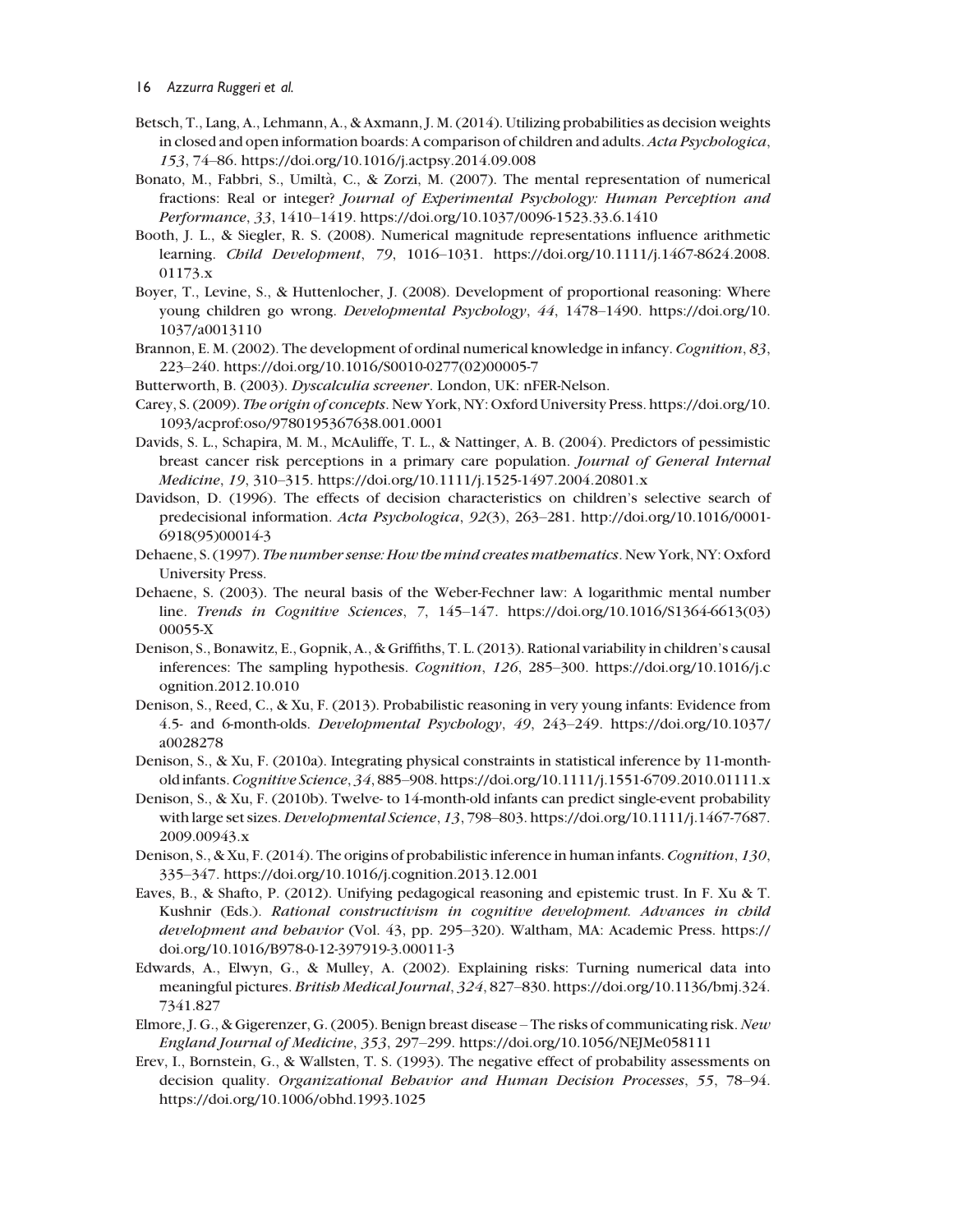- Betsch, T., Lang, A., Lehmann, A., & Axmann, J. M. (2014). Utilizing probabilities as decision weights in closed and open information boards: A comparison of children and adults. Acta Psychologica, 153, 74–86. https://doi.org/10.1016/j.actpsy.2014.09.008
- Bonato, M., Fabbri, S., Umiltà, C., & Zorzi, M. (2007). The mental representation of numerical fractions: Real or integer? Journal of Experimental Psychology: Human Perception and Performance, 33, 1410–1419. https://doi.org/10.1037/0096-1523.33.6.1410
- Booth, J. L., & Siegler, R. S. (2008). Numerical magnitude representations influence arithmetic learning. Child Development, 79, 1016–1031. https://doi.org/10.1111/j.1467-8624.2008. 01173.x
- Boyer, T., Levine, S., & Huttenlocher, J. (2008). Development of proportional reasoning: Where young children go wrong. Developmental Psychology, 44, 1478–1490. https://doi.org/10. 1037/a0013110
- Brannon, E. M. (2002). The development of ordinal numerical knowledge in infancy. Cognition, 83, 223–240. https://doi.org/10.1016/S0010-0277(02)00005-7
- Butterworth, B. (2003). Dyscalculia screener. London, UK: nFER-Nelson.
- Carey, S. (2009). The origin of concepts. New York, NY: Oxford University Press. https://doi.org/10. 1093/acprof:oso/9780195367638.001.0001
- Davids, S. L., Schapira, M. M., McAuliffe, T. L., & Nattinger, A. B. (2004). Predictors of pessimistic breast cancer risk perceptions in a primary care population. Journal of General Internal Medicine, 19, 310–315. https://doi.org/10.1111/j.1525-1497.2004.20801.x
- Davidson, D. (1996). The effects of decision characteristics on children's selective search of predecisional information. Acta Psychologica, 92(3), 263–281. http://doi.org/10.1016/0001- 6918(95)00014-3
- Dehaene, S. (1997). The number sense: How the mind creates mathematics. New York, NY: Oxford University Press.
- Dehaene, S. (2003). The neural basis of the Weber-Fechner law: A logarithmic mental number line. Trends in Cognitive Sciences, 7, 145–147. https://doi.org/10.1016/S1364-6613(03) 00055-X
- Denison, S., Bonawitz, E., Gopnik, A., & Griffiths, T. L. (2013). Rational variability in children's causal inferences: The sampling hypothesis. Cognition, 126, 285–300. https://doi.org/10.1016/j.c ognition.2012.10.010
- Denison, S., Reed, C., & Xu, F. (2013). Probabilistic reasoning in very young infants: Evidence from 4.5- and 6-month-olds. Developmental Psychology, 49, 243–249. https://doi.org/10.1037/ a0028278
- Denison, S., & Xu, F. (2010a). Integrating physical constraints in statistical inference by 11-monthold infants.Cognitive Science, 34, 885–908. https://doi.org/10.1111/j.1551-6709.2010.01111.x
- Denison, S., & Xu, F. (2010b). Twelve- to 14-month-old infants can predict single-event probability with large set sizes. Developmental Science, 13, 798–803. https://doi.org/10.1111/j.1467-7687. 2009.00943.x
- Denison, S., & Xu, F. (2014). The origins of probabilistic inference in human infants. Cognition, 130, 335–347. https://doi.org/10.1016/j.cognition.2013.12.001
- Eaves, B., & Shafto, P. (2012). Unifying pedagogical reasoning and epistemic trust. In F. Xu & T. Kushnir (Eds.). Rational constructivism in cognitive development. Advances in child development and behavior (Vol. 43, pp. 295-320). Waltham, MA: Academic Press. https:// doi.org/10.1016/B978-0-12-397919-3.00011-3
- Edwards, A., Elwyn, G., & Mulley, A. (2002). Explaining risks: Turning numerical data into meaningful pictures. British Medical Journal, 324, 827–830. https://doi.org/10.1136/bmj.324. 7341.827
- Elmore, J. G., & Gigerenzer, G. (2005). Benign breast disease The risks of communicating risk. New England Journal of Medicine, 353, 297–299. https://doi.org/10.1056/NEJMe058111
- Erev, I., Bornstein, G., & Wallsten, T. S. (1993). The negative effect of probability assessments on decision quality. Organizational Behavior and Human Decision Processes, 55, 78–94. https://doi.org/10.1006/obhd.1993.1025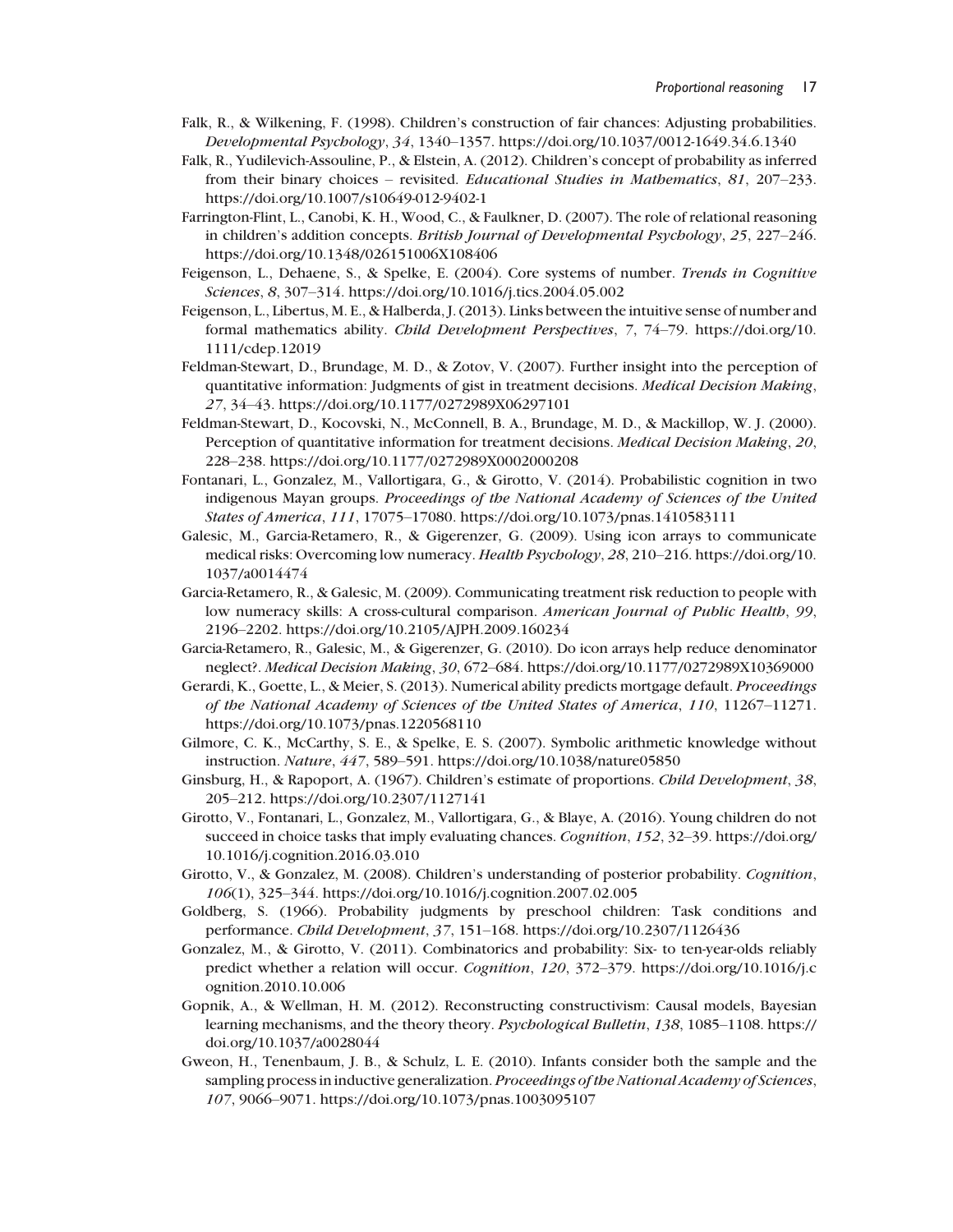- Falk, R., & Wilkening, F. (1998). Children's construction of fair chances: Adjusting probabilities. Developmental Psychology, 34, 1340–1357. https://doi.org/10.1037/0012-1649.34.6.1340
- Falk, R., Yudilevich-Assouline, P., & Elstein, A. (2012). Children's concept of probability as inferred from their binary choices – revisited. Educational Studies in Mathematics, 81, 207–233. https://doi.org/10.1007/s10649-012-9402-1
- Farrington-Flint, L., Canobi, K. H., Wood, C., & Faulkner, D. (2007). The role of relational reasoning in children's addition concepts. British Journal of Developmental Psychology, 25, 227–246. https://doi.org/10.1348/026151006X108406
- Feigenson, L., Dehaene, S., & Spelke, E. (2004). Core systems of number. Trends in Cognitive Sciences, 8, 307–314. https://doi.org/10.1016/j.tics.2004.05.002
- Feigenson, L., Libertus, M. E., & Halberda, J. (2013). Links between the intuitive sense of number and formal mathematics ability. Child Development Perspectives, 7, 74–79. https://doi.org/10. 1111/cdep.12019
- Feldman-Stewart, D., Brundage, M. D., & Zotov, V. (2007). Further insight into the perception of quantitative information: Judgments of gist in treatment decisions. Medical Decision Making, 27, 34–43. https://doi.org/10.1177/0272989X06297101
- Feldman-Stewart, D., Kocovski, N., McConnell, B. A., Brundage, M. D., & Mackillop, W. J. (2000). Perception of quantitative information for treatment decisions. *Medical Decision Making*, 20, 228–238. https://doi.org/10.1177/0272989X0002000208
- Fontanari, L., Gonzalez, M., Vallortigara, G., & Girotto, V. (2014). Probabilistic cognition in two indigenous Mayan groups. Proceedings of the National Academy of Sciences of the United States of America, 111, 17075–17080. https://doi.org/10.1073/pnas.1410583111
- Galesic, M., Garcia-Retamero, R., & Gigerenzer, G. (2009). Using icon arrays to communicate medical risks: Overcoming low numeracy. Health Psychology, 28, 210–216. https://doi.org/10. 1037/a0014474
- Garcia-Retamero, R., & Galesic, M. (2009). Communicating treatment risk reduction to people with low numeracy skills: A cross-cultural comparison. American Journal of Public Health, 99, 2196–2202. https://doi.org/10.2105/AJPH.2009.160234
- Garcia-Retamero, R., Galesic, M., & Gigerenzer, G. (2010). Do icon arrays help reduce denominator neglect?. Medical Decision Making, 30, 672–684. https://doi.org/10.1177/0272989X10369000
- Gerardi, K., Goette, L., & Meier, S. (2013). Numerical ability predicts mortgage default. Proceedings of the National Academy of Sciences of the United States of America, 110, 11267–11271. https://doi.org/10.1073/pnas.1220568110
- Gilmore, C. K., McCarthy, S. E., & Spelke, E. S. (2007). Symbolic arithmetic knowledge without instruction. Nature, 447, 589–591. https://doi.org/10.1038/nature05850
- Ginsburg, H., & Rapoport, A. (1967). Children's estimate of proportions. Child Development, 38, 205–212. https://doi.org/10.2307/1127141
- Girotto, V., Fontanari, L., Gonzalez, M., Vallortigara, G., & Blaye, A. (2016). Young children do not succeed in choice tasks that imply evaluating chances. Cognition, 152, 32-39. https://doi.org/ 10.1016/j.cognition.2016.03.010
- Girotto, V., & Gonzalez, M. (2008). Children's understanding of posterior probability. Cognition, 106(1), 325–344. https://doi.org/10.1016/j.cognition.2007.02.005
- Goldberg, S. (1966). Probability judgments by preschool children: Task conditions and performance. Child Development, 37, 151–168. https://doi.org/10.2307/1126436
- Gonzalez, M., & Girotto, V. (2011). Combinatorics and probability: Six- to ten-year-olds reliably predict whether a relation will occur. Cognition, 120, 372–379. https://doi.org/10.1016/j.c ognition.2010.10.006
- Gopnik, A., & Wellman, H. M. (2012). Reconstructing constructivism: Causal models, Bayesian learning mechanisms, and the theory theory. Psychological Bulletin, 138, 1085–1108. https:// doi.org/10.1037/a0028044
- Gweon, H., Tenenbaum, J. B., & Schulz, L. E. (2010). Infants consider both the sample and the sampling process in inductive generalization. Proceedings of the National Academy of Sciences, 107, 9066–9071. https://doi.org/10.1073/pnas.1003095107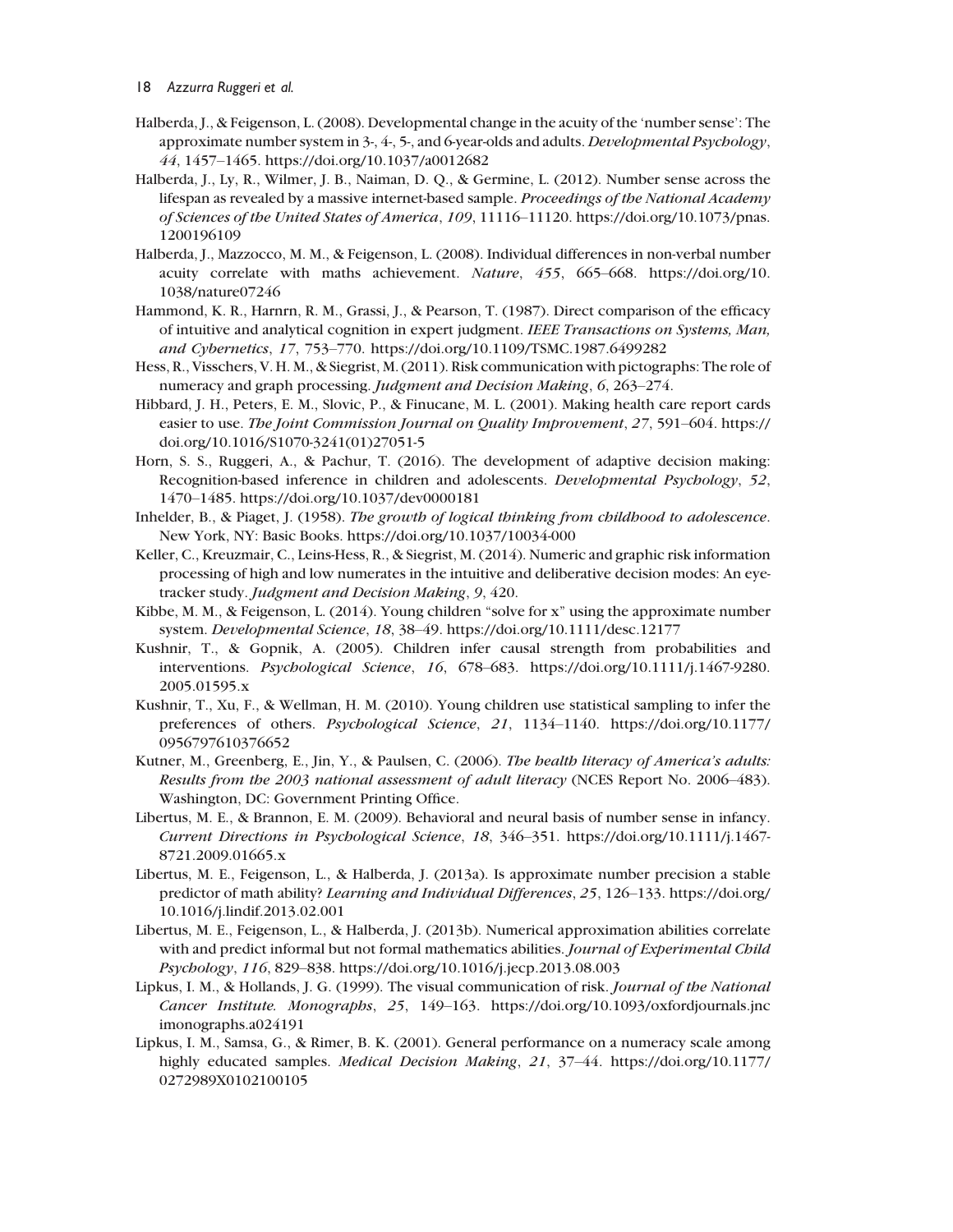- Halberda, J., & Feigenson, L. (2008). Developmental change in the acuity of the 'number sense': The approximate number system in  $3-$ ,  $4-$ ,  $5-$ , and 6-year-olds and adults. Developmental Psychology, 44, 1457–1465. https://doi.org/10.1037/a0012682
- Halberda, J., Ly, R., Wilmer, J. B., Naiman, D. Q., & Germine, L. (2012). Number sense across the lifespan as revealed by a massive internet-based sample. Proceedings of the National Academy of Sciences of the United States of America, 109, 11116–11120. https://doi.org/10.1073/pnas. 1200196109
- Halberda, J., Mazzocco, M. M., & Feigenson, L. (2008). Individual differences in non-verbal number acuity correlate with maths achievement. Nature, 455, 665–668. https://doi.org/10. 1038/nature07246
- Hammond, K. R., Harnrn, R. M., Grassi, J., & Pearson, T. (1987). Direct comparison of the efficacy of intuitive and analytical cognition in expert judgment. IEEE Transactions on Systems, Man, and Cybernetics, 17, 753–770. https://doi.org/10.1109/TSMC.1987.6499282
- Hess, R., Visschers, V. H. M., & Siegrist, M. (2011). Risk communication with pictographs: The role of numeracy and graph processing. Judgment and Decision Making, 6, 263–274.
- Hibbard, J. H., Peters, E. M., Slovic, P., & Finucane, M. L. (2001). Making health care report cards easier to use. The Joint Commission Journal on Quality Improvement, 27, 591–604. https:// doi.org/10.1016/S1070-3241(01)27051-5
- Horn, S. S., Ruggeri, A., & Pachur, T. (2016). The development of adaptive decision making: Recognition-based inference in children and adolescents. Developmental Psychology, 52, 1470–1485. https://doi.org/10.1037/dev0000181
- Inhelder, B., & Piaget, J. (1958). The growth of logical thinking from childhood to adolescence. New York, NY: Basic Books. https://doi.org/10.1037/10034-000
- Keller, C., Kreuzmair, C., Leins-Hess, R., & Siegrist, M. (2014). Numeric and graphic risk information processing of high and low numerates in the intuitive and deliberative decision modes: An eyetracker study. Judgment and Decision Making, 9, 420.
- Kibbe, M. M., & Feigenson, L. (2014). Young children "solve for x" using the approximate number system. Developmental Science, 18, 38–49. https://doi.org/10.1111/desc.12177
- Kushnir, T., & Gopnik, A. (2005). Children infer causal strength from probabilities and interventions. Psychological Science, 16, 678–683. https://doi.org/10.1111/j.1467-9280. 2005.01595.x
- Kushnir, T., Xu, F., & Wellman, H. M. (2010). Young children use statistical sampling to infer the preferences of others. Psychological Science, 21, 1134–1140. https://doi.org/10.1177/ 0956797610376652
- Kutner, M., Greenberg, E., Jin, Y., & Paulsen, C. (2006). The health literacy of America's adults: Results from the 2003 national assessment of adult literacy (NCES Report No. 2006–483). Washington, DC: Government Printing Office.
- Libertus, M. E., & Brannon, E. M. (2009). Behavioral and neural basis of number sense in infancy. Current Directions in Psychological Science, 18, 346–351. https://doi.org/10.1111/j.1467- 8721.2009.01665.x
- Libertus, M. E., Feigenson, L., & Halberda, J. (2013a). Is approximate number precision a stable predictor of math ability? Learning and Individual Differences, 25, 126–133. https://doi.org/ 10.1016/j.lindif.2013.02.001
- Libertus, M. E., Feigenson, L., & Halberda, J. (2013b). Numerical approximation abilities correlate with and predict informal but not formal mathematics abilities. Journal of Experimental Child Psychology, 116, 829–838. https://doi.org/10.1016/j.jecp.2013.08.003
- Lipkus, I. M., & Hollands, J. G. (1999). The visual communication of risk. Journal of the National Cancer Institute. Monographs, 25, 149–163. https://doi.org/10.1093/oxfordjournals.jnc imonographs.a024191
- Lipkus, I. M., Samsa, G., & Rimer, B. K. (2001). General performance on a numeracy scale among highly educated samples. Medical Decision Making, 21, 37–44. https://doi.org/10.1177/ 0272989X0102100105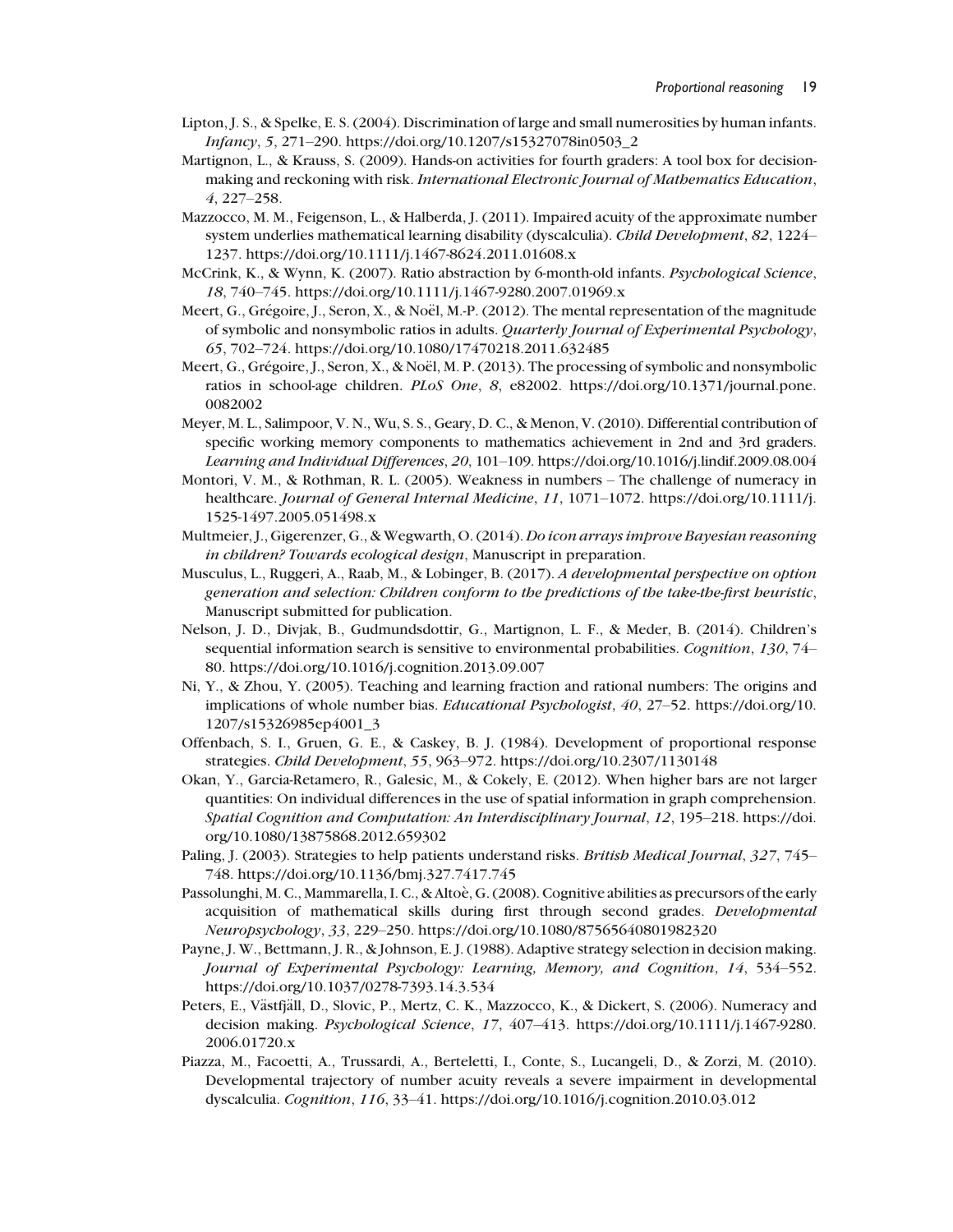- Lipton, J. S., & Spelke, E. S. (2004). Discrimination of large and small numerosities by human infants. Infancy, 5, 271–290. https://doi.org/10.1207/s15327078in0503\_2
- Martignon, L., & Krauss, S. (2009). Hands-on activities for fourth graders: A tool box for decisionmaking and reckoning with risk. International Electronic Journal of Mathematics Education, 4, 227–258.
- Mazzocco, M. M., Feigenson, L., & Halberda, J. (2011). Impaired acuity of the approximate number system underlies mathematical learning disability (dyscalculia). Child Development, 82, 1224– 1237. https://doi.org/10.1111/j.1467-8624.2011.01608.x
- McCrink, K., & Wynn, K. (2007). Ratio abstraction by 6-month-old infants. Psychological Science, 18, 740–745. https://doi.org/10.1111/j.1467-9280.2007.01969.x
- Meert, G., Grégoire, J., Seron, X., & Noël, M.-P. (2012). The mental representation of the magnitude of symbolic and nonsymbolic ratios in adults. Quarterly Journal of Experimental Psychology, 65, 702–724. https://doi.org/10.1080/17470218.2011.632485
- Meert, G., Grégoire, J., Seron, X., & Noël, M. P. (2013). The processing of symbolic and nonsymbolic ratios in school-age children. PLoS One, 8, e82002. https://doi.org/10.1371/journal.pone. 0082002
- Meyer, M. L., Salimpoor, V. N., Wu, S. S., Geary, D. C., & Menon, V. (2010). Differential contribution of specific working memory components to mathematics achievement in 2nd and 3rd graders. Learning and Individual Differences, 20, 101–109. https://doi.org/10.1016/j.lindif.2009.08.004
- Montori, V. M., & Rothman, R. L. (2005). Weakness in numbers The challenge of numeracy in healthcare. Journal of General Internal Medicine, 11, 1071-1072. https://doi.org/10.1111/j. 1525-1497.2005.051498.x
- Multmeier, J., Gigerenzer, G., & Wegwarth, O. (2014). Do icon arrays improve Bayesian reasoning in children? Towards ecological design, Manuscript in preparation.
- Musculus, L., Ruggeri, A., Raab, M., & Lobinger, B. (2017). A developmental perspective on option generation and selection: Children conform to the predictions of the take-the-first heuristic, Manuscript submitted for publication.
- Nelson, J. D., Divjak, B., Gudmundsdottir, G., Martignon, L. F., & Meder, B. (2014). Children's sequential information search is sensitive to environmental probabilities. Cognition, 130, 74– 80. https://doi.org/10.1016/j.cognition.2013.09.007
- Ni, Y., & Zhou, Y. (2005). Teaching and learning fraction and rational numbers: The origins and implications of whole number bias. Educational Psychologist, 40, 27–52. https://doi.org/10. 1207/s15326985ep4001\_3
- Offenbach, S. I., Gruen, G. E., & Caskey, B. J. (1984). Development of proportional response strategies. Child Development, 55, 963–972. https://doi.org/10.2307/1130148
- Okan, Y., Garcia-Retamero, R., Galesic, M., & Cokely, E. (2012). When higher bars are not larger quantities: On individual differences in the use of spatial information in graph comprehension. Spatial Cognition and Computation: An Interdisciplinary Journal, 12, 195–218. https://doi. org/10.1080/13875868.2012.659302
- Paling, J. (2003). Strategies to help patients understand risks. British Medical Journal, 327, 745– 748. https://doi.org/10.1136/bmj.327.7417.745
- Passolunghi, M. C., Mammarella, I. C., & Altoè, G. (2008). Cognitive abilities as precursors of the early acquisition of mathematical skills during first through second grades. Developmental Neuropsychology, 33, 229–250. https://doi.org/10.1080/87565640801982320
- Payne, J. W., Bettmann, J. R., & Johnson, E. J. (1988). Adaptive strategy selection in decision making. Journal of Experimental Psychology: Learning, Memory, and Cognition, 14, 534–552. https://doi.org/10.1037/0278-7393.14.3.534
- Peters, E., Västfjäll, D., Slovic, P., Mertz, C. K., Mazzocco, K., & Dickert, S. (2006). Numeracy and decision making. Psychological Science, 17, 407–413. https://doi.org/10.1111/j.1467-9280. 2006.01720.x
- Piazza, M., Facoetti, A., Trussardi, A., Berteletti, I., Conte, S., Lucangeli, D., & Zorzi, M. (2010). Developmental trajectory of number acuity reveals a severe impairment in developmental dyscalculia. Cognition, 116, 33–41. https://doi.org/10.1016/j.cognition.2010.03.012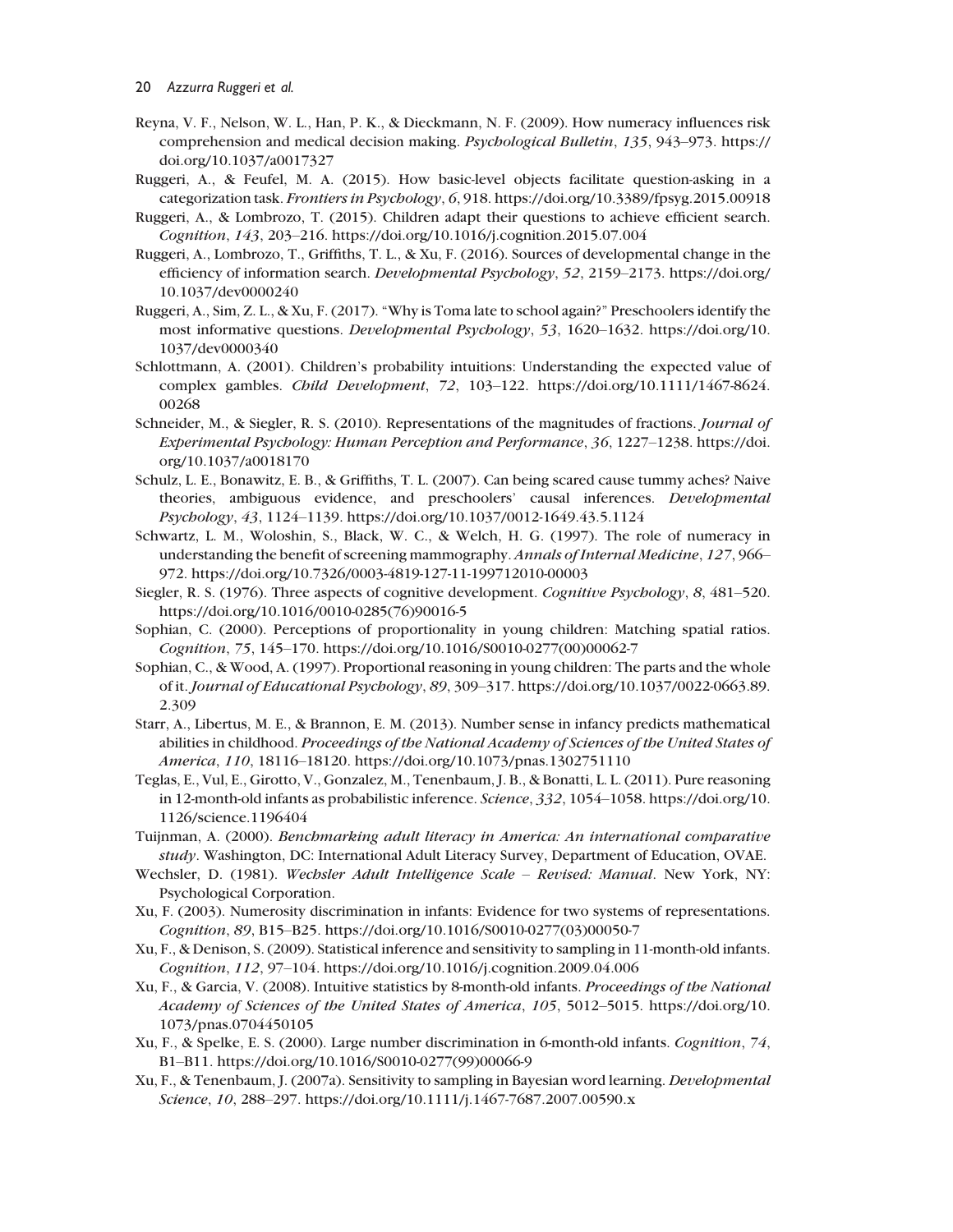- Reyna, V. F., Nelson, W. L., Han, P. K., & Dieckmann, N. F. (2009). How numeracy influences risk comprehension and medical decision making. Psychological Bulletin, 135, 943–973. https:// doi.org/10.1037/a0017327
- Ruggeri, A., & Feufel, M. A. (2015). How basic-level objects facilitate question-asking in a categorization task. Frontiers in Psychology, 6, 918. https://doi.org/10.3389/fpsyg.2015.00918
- Ruggeri, A., & Lombrozo, T. (2015). Children adapt their questions to achieve efficient search. Cognition, 143, 203–216. https://doi.org/10.1016/j.cognition.2015.07.004
- Ruggeri, A., Lombrozo, T., Griffiths, T. L., & Xu, F. (2016). Sources of developmental change in the efficiency of information search. Developmental Psychology, 52, 2159–2173. https://doi.org/ 10.1037/dev0000240
- Ruggeri, A., Sim, Z. L., & Xu, F. (2017). "Why is Toma late to school again?" Preschoolers identify the most informative questions. Developmental Psychology, 53, 1620–1632. https://doi.org/10. 1037/dev0000340
- Schlottmann, A. (2001). Children's probability intuitions: Understanding the expected value of complex gambles. Child Development, 72, 103–122. https://doi.org/10.1111/1467-8624. 00268
- Schneider, M., & Siegler, R. S. (2010). Representations of the magnitudes of fractions. Journal of Experimental Psychology: Human Perception and Performance, 36, 1227–1238. https://doi. org/10.1037/a0018170
- Schulz, L. E., Bonawitz, E. B., & Griffiths, T. L. (2007). Can being scared cause tummy aches? Naive theories, ambiguous evidence, and preschoolers' causal inferences. Developmental Psychology, 43, 1124–1139. https://doi.org/10.1037/0012-1649.43.5.1124
- Schwartz, L. M., Woloshin, S., Black, W. C., & Welch, H. G. (1997). The role of numeracy in understanding the benefit of screening mammography. Annals of Internal Medicine, 127, 966– 972. https://doi.org/10.7326/0003-4819-127-11-199712010-00003
- Siegler, R. S. (1976). Three aspects of cognitive development. Cognitive Psychology, 8, 481–520. https://doi.org/10.1016/0010-0285(76)90016-5
- Sophian, C. (2000). Perceptions of proportionality in young children: Matching spatial ratios. Cognition, 75, 145–170. https://doi.org/10.1016/S0010-0277(00)00062-7
- Sophian, C., & Wood, A. (1997). Proportional reasoning in young children: The parts and the whole of it. Journal of Educational Psychology, 89, 309–317. https://doi.org/10.1037/0022-0663.89. 2.309
- Starr, A., Libertus, M. E., & Brannon, E. M. (2013). Number sense in infancy predicts mathematical abilities in childhood. Proceedings of the National Academy of Sciences of the United States of America, 110, 18116–18120. https://doi.org/10.1073/pnas.1302751110
- Teglas, E., Vul, E., Girotto, V., Gonzalez, M., Tenenbaum, J. B., & Bonatti, L. L. (2011). Pure reasoning in 12-month-old infants as probabilistic inference. Science, 332, 1054–1058. https://doi.org/10. 1126/science.1196404
- Tuijnman, A. (2000). Benchmarking adult literacy in America: An international comparative study. Washington, DC: International Adult Literacy Survey, Department of Education, OVAE.
- Wechsler, D. (1981). Wechsler Adult Intelligence Scale Revised: Manual. New York, NY: Psychological Corporation.
- Xu, F. (2003). Numerosity discrimination in infants: Evidence for two systems of representations. Cognition, 89, B15–B25. https://doi.org/10.1016/S0010-0277(03)00050-7
- Xu, F., & Denison, S. (2009). Statistical inference and sensitivity to sampling in 11-month-old infants. Cognition, 112, 97–104. https://doi.org/10.1016/j.cognition.2009.04.006
- Xu, F., & Garcia, V. (2008). Intuitive statistics by 8-month-old infants. Proceedings of the National Academy of Sciences of the United States of America, 105, 5012–5015. https://doi.org/10. 1073/pnas.0704450105
- Xu, F., & Spelke, E. S. (2000). Large number discrimination in 6-month-old infants. Cognition, 74, B1–B11. https://doi.org/10.1016/S0010-0277(99)00066-9
- Xu, F., & Tenenbaum, J. (2007a). Sensitivity to sampling in Bayesian word learning. Developmental Science, 10, 288–297. https://doi.org/10.1111/j.1467-7687.2007.00590.x